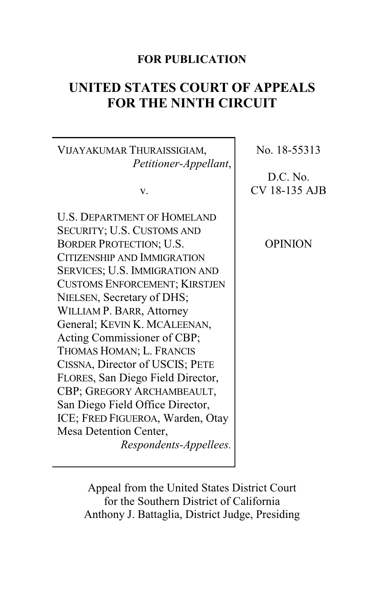## **FOR PUBLICATION**

# **UNITED STATES COURT OF APPEALS FOR THE NINTH CIRCUIT**

VIJAYAKUMAR THURAISSIGIAM, *Petitioner-Appellant*,

v.

U.S. DEPARTMENT OF HOMELAND SECURITY; U.S. CUSTOMS AND BORDER PROTECTION; U.S. CITIZENSHIP AND IMMIGRATION SERVICES; U.S. IMMIGRATION AND CUSTOMS ENFORCEMENT; KIRSTJEN NIELSEN, Secretary of DHS; WILLIAM P. BARR, Attorney General; KEVIN K. MCALEENAN, Acting Commissioner of CBP; THOMAS HOMAN; L. FRANCIS CISSNA, Director of USCIS; PETE FLORES, San Diego Field Director, CBP; GREGORY ARCHAMBEAULT, San Diego Field Office Director, ICE; FRED FIGUEROA, Warden, Otay Mesa Detention Center, *Respondents-Appellees.* No. 18-55313

D.C. No. CV 18-135 AJB

OPINION

Appeal from the United States District Court for the Southern District of California Anthony J. Battaglia, District Judge, Presiding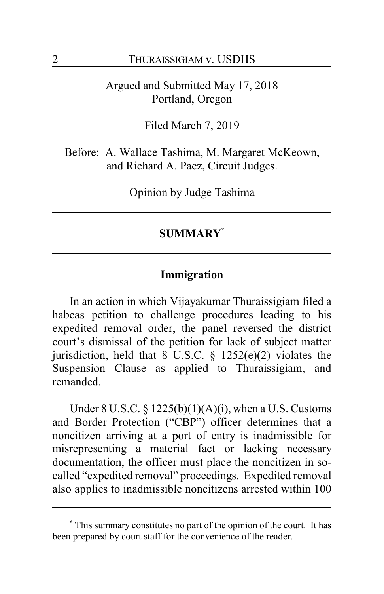Argued and Submitted May 17, 2018 Portland, Oregon

Filed March 7, 2019

Before: A. Wallace Tashima, M. Margaret McKeown, and Richard A. Paez, Circuit Judges.

Opinion by Judge Tashima

## **SUMMARY\***

### **Immigration**

In an action in which Vijayakumar Thuraissigiam filed a habeas petition to challenge procedures leading to his expedited removal order, the panel reversed the district court's dismissal of the petition for lack of subject matter jurisdiction, held that  $8$  U.S.C.  $\frac{6}{5}$  1252(e)(2) violates the Suspension Clause as applied to Thuraissigiam, and remanded.

Under 8 U.S.C. §  $1225(b)(1)(A)(i)$ , when a U.S. Customs and Border Protection ("CBP") officer determines that a noncitizen arriving at a port of entry is inadmissible for misrepresenting a material fact or lacking necessary documentation, the officer must place the noncitizen in socalled "expedited removal" proceedings. Expedited removal also applies to inadmissible noncitizens arrested within 100

**<sup>\*</sup>** This summary constitutes no part of the opinion of the court. It has been prepared by court staff for the convenience of the reader.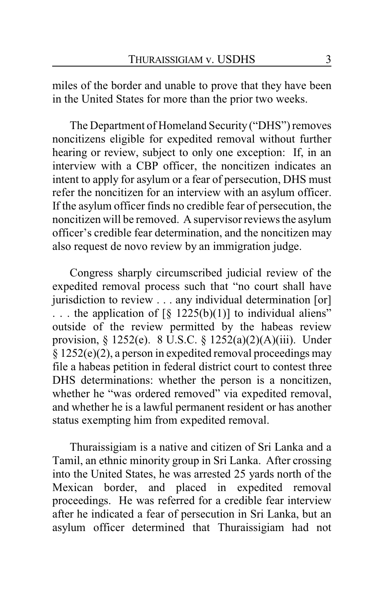miles of the border and unable to prove that they have been in the United States for more than the prior two weeks.

The Department of Homeland Security ("DHS") removes noncitizens eligible for expedited removal without further hearing or review, subject to only one exception: If, in an interview with a CBP officer, the noncitizen indicates an intent to apply for asylum or a fear of persecution, DHS must refer the noncitizen for an interview with an asylum officer. If the asylum officer finds no credible fear of persecution, the noncitizen will be removed. A supervisor reviews the asylum officer's credible fear determination, and the noncitizen may also request de novo review by an immigration judge.

Congress sharply circumscribed judicial review of the expedited removal process such that "no court shall have jurisdiction to review . . . any individual determination [or] ... the application of  $\lceil \S \ 1225(b)(1) \rceil$  to individual aliens" outside of the review permitted by the habeas review provision, § 1252(e). 8 U.S.C. § 1252(a)(2)(A)(iii). Under § 1252(e)(2), a person in expedited removal proceedings may file a habeas petition in federal district court to contest three DHS determinations: whether the person is a noncitizen, whether he "was ordered removed" via expedited removal, and whether he is a lawful permanent resident or has another status exempting him from expedited removal.

Thuraissigiam is a native and citizen of Sri Lanka and a Tamil, an ethnic minority group in Sri Lanka. After crossing into the United States, he was arrested 25 yards north of the Mexican border, and placed in expedited removal proceedings. He was referred for a credible fear interview after he indicated a fear of persecution in Sri Lanka, but an asylum officer determined that Thuraissigiam had not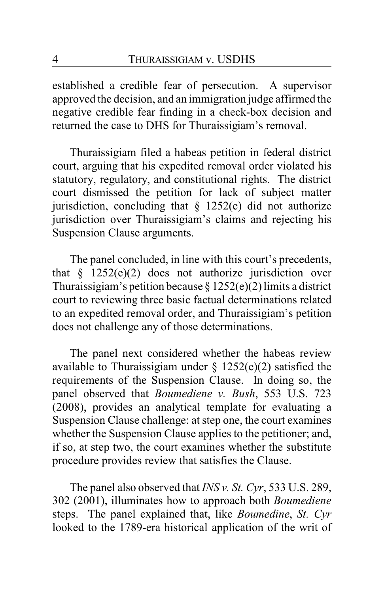established a credible fear of persecution. A supervisor approved the decision, and an immigration judge affirmed the negative credible fear finding in a check-box decision and returned the case to DHS for Thuraissigiam's removal.

Thuraissigiam filed a habeas petition in federal district court, arguing that his expedited removal order violated his statutory, regulatory, and constitutional rights. The district court dismissed the petition for lack of subject matter jurisdiction, concluding that  $\S$  1252(e) did not authorize jurisdiction over Thuraissigiam's claims and rejecting his Suspension Clause arguments.

The panel concluded, in line with this court's precedents, that  $§$  1252(e)(2) does not authorize jurisdiction over Thuraissigiam's petition because  $\S 1252(e)(2)$  limits a district court to reviewing three basic factual determinations related to an expedited removal order, and Thuraissigiam's petition does not challenge any of those determinations.

The panel next considered whether the habeas review available to Thuraissigiam under  $\S 1252(e)(2)$  satisfied the requirements of the Suspension Clause. In doing so, the panel observed that *Boumediene v. Bush*, 553 U.S. 723 (2008), provides an analytical template for evaluating a Suspension Clause challenge: at step one, the court examines whether the Suspension Clause applies to the petitioner; and, if so, at step two, the court examines whether the substitute procedure provides review that satisfies the Clause.

The panel also observed that *INS v. St. Cyr*, 533 U.S. 289, 302 (2001), illuminates how to approach both *Boumediene* steps. The panel explained that, like *Boumedine*, *St. Cyr* looked to the 1789-era historical application of the writ of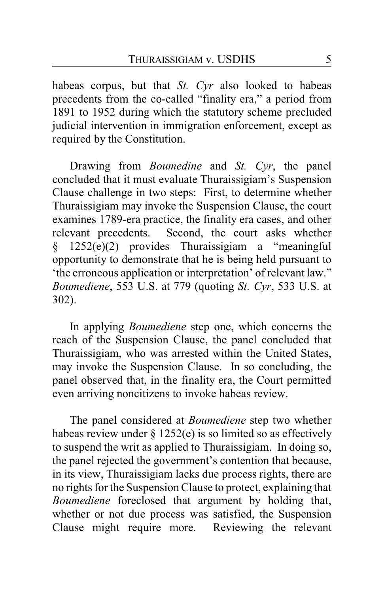habeas corpus, but that *St. Cyr* also looked to habeas precedents from the co-called "finality era," a period from 1891 to 1952 during which the statutory scheme precluded judicial intervention in immigration enforcement, except as required by the Constitution.

Drawing from *Boumedine* and *St. Cyr*, the panel concluded that it must evaluate Thuraissigiam's Suspension Clause challenge in two steps: First, to determine whether Thuraissigiam may invoke the Suspension Clause, the court examines 1789-era practice, the finality era cases, and other relevant precedents. Second, the court asks whether § 1252(e)(2) provides Thuraissigiam a "meaningful opportunity to demonstrate that he is being held pursuant to 'the erroneous application or interpretation' of relevant law." *Boumediene*, 553 U.S. at 779 (quoting *St. Cyr*, 533 U.S. at 302).

In applying *Boumediene* step one, which concerns the reach of the Suspension Clause, the panel concluded that Thuraissigiam, who was arrested within the United States, may invoke the Suspension Clause. In so concluding, the panel observed that, in the finality era, the Court permitted even arriving noncitizens to invoke habeas review.

The panel considered at *Boumediene* step two whether habeas review under  $\S 1252(e)$  is so limited so as effectively to suspend the writ as applied to Thuraissigiam. In doing so, the panel rejected the government's contention that because, in its view, Thuraissigiam lacks due process rights, there are no rights for the Suspension Clause to protect, explaining that *Boumediene* foreclosed that argument by holding that, whether or not due process was satisfied, the Suspension Clause might require more. Reviewing the relevant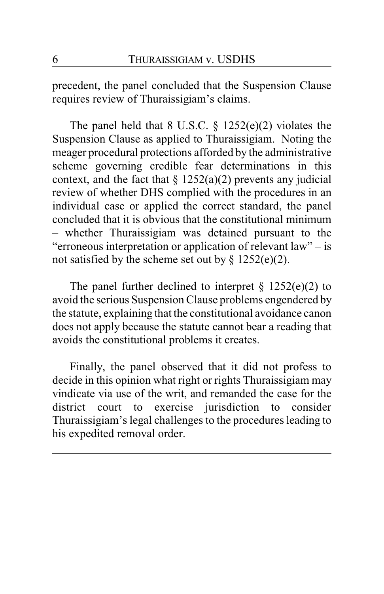precedent, the panel concluded that the Suspension Clause requires review of Thuraissigiam's claims.

The panel held that 8 U.S.C.  $\S$  1252(e)(2) violates the Suspension Clause as applied to Thuraissigiam. Noting the meager procedural protections afforded by the administrative scheme governing credible fear determinations in this context, and the fact that  $\S$  1252(a)(2) prevents any judicial review of whether DHS complied with the procedures in an individual case or applied the correct standard, the panel concluded that it is obvious that the constitutional minimum – whether Thuraissigiam was detained pursuant to the "erroneous interpretation or application of relevant law" – is not satisfied by the scheme set out by  $\S 1252(e)(2)$ .

The panel further declined to interpret  $\S$  1252(e)(2) to avoid the serious Suspension Clause problems engendered by the statute, explaining that the constitutional avoidance canon does not apply because the statute cannot bear a reading that avoids the constitutional problems it creates.

Finally, the panel observed that it did not profess to decide in this opinion what right or rights Thuraissigiam may vindicate via use of the writ, and remanded the case for the district court to exercise jurisdiction to consider Thuraissigiam's legal challenges to the procedures leading to his expedited removal order.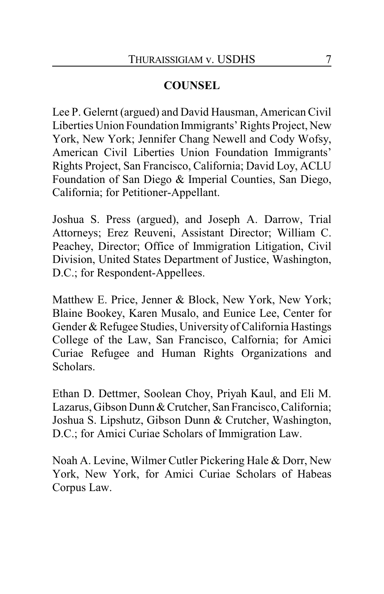## **COUNSEL**

Lee P. Gelernt (argued) and David Hausman, American Civil Liberties Union Foundation Immigrants' Rights Project, New York, New York; Jennifer Chang Newell and Cody Wofsy, American Civil Liberties Union Foundation Immigrants' Rights Project, San Francisco, California; David Loy, ACLU Foundation of San Diego & Imperial Counties, San Diego, California; for Petitioner-Appellant.

Joshua S. Press (argued), and Joseph A. Darrow, Trial Attorneys; Erez Reuveni, Assistant Director; William C. Peachey, Director; Office of Immigration Litigation, Civil Division, United States Department of Justice, Washington, D.C.; for Respondent-Appellees.

Matthew E. Price, Jenner & Block, New York, New York; Blaine Bookey, Karen Musalo, and Eunice Lee, Center for Gender & Refugee Studies, University of California Hastings College of the Law, San Francisco, Calfornia; for Amici Curiae Refugee and Human Rights Organizations and Scholars.

Ethan D. Dettmer, Soolean Choy, Priyah Kaul, and Eli M. Lazarus, Gibson Dunn & Crutcher, San Francisco, California; Joshua S. Lipshutz, Gibson Dunn & Crutcher, Washington, D.C.; for Amici Curiae Scholars of Immigration Law.

Noah A. Levine, Wilmer Cutler Pickering Hale & Dorr, New York, New York, for Amici Curiae Scholars of Habeas Corpus Law.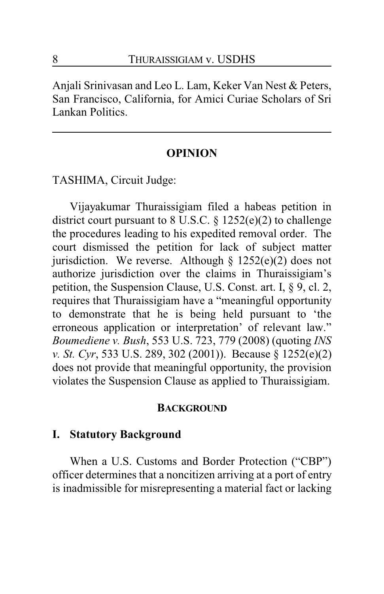Anjali Srinivasan and Leo L. Lam, Keker Van Nest & Peters, San Francisco, California, for Amici Curiae Scholars of Sri Lankan Politics.

### **OPINION**

TASHIMA, Circuit Judge:

Vijayakumar Thuraissigiam filed a habeas petition in district court pursuant to 8 U.S.C. § 1252(e)(2) to challenge the procedures leading to his expedited removal order. The court dismissed the petition for lack of subject matter jurisdiction. We reverse. Although  $\S$  1252(e)(2) does not authorize jurisdiction over the claims in Thuraissigiam's petition, the Suspension Clause, U.S. Const. art. I, § 9, cl. 2, requires that Thuraissigiam have a "meaningful opportunity to demonstrate that he is being held pursuant to 'the erroneous application or interpretation' of relevant law." *Boumediene v. Bush*, 553 U.S. 723, 779 (2008) (quoting *INS v. St. Cyr*, 533 U.S. 289, 302 (2001)). Because § 1252(e)(2) does not provide that meaningful opportunity, the provision violates the Suspension Clause as applied to Thuraissigiam.

### **BACKGROUND**

### **I. Statutory Background**

When a U.S. Customs and Border Protection ("CBP") officer determines that a noncitizen arriving at a port of entry is inadmissible for misrepresenting a material fact or lacking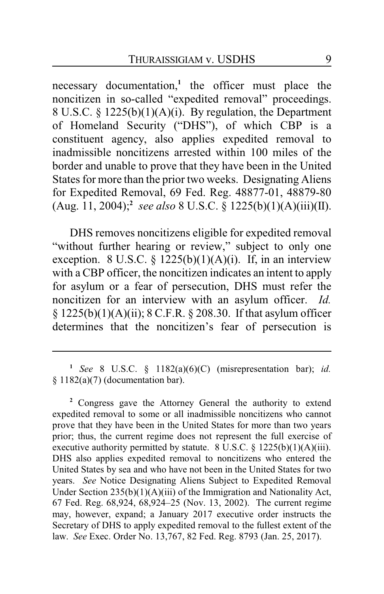necessary documentation,**<sup>1</sup>** the officer must place the noncitizen in so-called "expedited removal" proceedings. 8 U.S.C. § 1225(b)(1)(A)(i). By regulation, the Department of Homeland Security ("DHS"), of which CBP is a constituent agency, also applies expedited removal to inadmissible noncitizens arrested within 100 miles of the border and unable to prove that they have been in the United States for more than the prior two weeks. Designating Aliens for Expedited Removal, 69 Fed. Reg. 48877-01, 48879-80 (Aug. 11, 2004);**<sup>2</sup>** *see also* 8 U.S.C. § 1225(b)(1)(A)(iii)(II).

DHS removes noncitizens eligible for expedited removal "without further hearing or review," subject to only one exception. 8 U.S.C. §  $1225(b)(1)(A)(i)$ . If, in an interview with a CBP officer, the noncitizen indicates an intent to apply for asylum or a fear of persecution, DHS must refer the noncitizen for an interview with an asylum officer. *Id.* § 1225(b)(1)(A)(ii); 8 C.F.R. § 208.30. If that asylum officer determines that the noncitizen's fear of persecution is

**<sup>1</sup>** *See* 8 U.S.C. § 1182(a)(6)(C) (misrepresentation bar); *id.* § 1182(a)(7) (documentation bar).

**<sup>2</sup>** Congress gave the Attorney General the authority to extend expedited removal to some or all inadmissible noncitizens who cannot prove that they have been in the United States for more than two years prior; thus, the current regime does not represent the full exercise of executive authority permitted by statute.  $8 \text{ U.S.C.} \$   $1225(b)(1)(\text{A})(iii)$ . DHS also applies expedited removal to noncitizens who entered the United States by sea and who have not been in the United States for two years. *See* Notice Designating Aliens Subject to Expedited Removal Under Section 235(b)(1)(A)(iii) of the Immigration and Nationality Act, 67 Fed. Reg. 68,924, 68,924–25 (Nov. 13, 2002). The current regime may, however, expand; a January 2017 executive order instructs the Secretary of DHS to apply expedited removal to the fullest extent of the law. *See* Exec. Order No. 13,767, 82 Fed. Reg. 8793 (Jan. 25, 2017).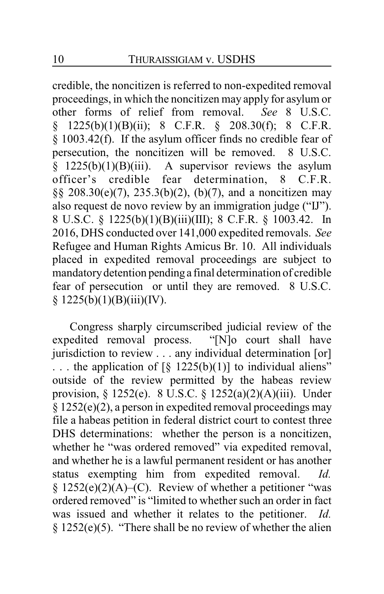credible, the noncitizen is referred to non-expedited removal proceedings, in which the noncitizen may apply for asylum or other forms of relief from removal. *See* 8 U.S.C.  $§$  1225(b)(1)(B)(ii); 8 C.F.R.  $§$  208.30(f); 8 C.F.R. § 1003.42(f). If the asylum officer finds no credible fear of persecution, the noncitizen will be removed. 8 U.S.C.  $§$  1225(b)(1)(B)(iii). A supervisor reviews the asylum officer's credible fear determination, 8 C.F.R. §§ 208.30(e)(7), 235.3(b)(2), (b)(7), and a noncitizen may also request de novo review by an immigration judge ("IJ"). 8 U.S.C. § 1225(b)(1)(B)(iii)(III); 8 C.F.R. § 1003.42. In 2016, DHS conducted over 141,000 expedited removals. *See* Refugee and Human Rights Amicus Br. 10. All individuals placed in expedited removal proceedings are subject to mandatorydetention pendinga final determination of credible fear of persecution or until they are removed. 8 U.S.C.  $§ 1225(b)(1)(B)(iii)(IV).$ 

Congress sharply circumscribed judicial review of the expedited removal process. "[N]o court shall have jurisdiction to review . . . any individual determination [or] ... the application of  $\lbrack \S \rbrack$  1225(b)(1)] to individual aliens" outside of the review permitted by the habeas review provision, § 1252(e). 8 U.S.C. § 1252(a)(2)(A)(iii). Under § 1252(e)(2), a person in expedited removal proceedings may file a habeas petition in federal district court to contest three DHS determinations: whether the person is a noncitizen, whether he "was ordered removed" via expedited removal, and whether he is a lawful permanent resident or has another status exempting him from expedited removal. *Id.*  $§ 1252(e)(2)(A)$ –(C). Review of whether a petitioner "was ordered removed" is "limited to whether such an order in fact was issued and whether it relates to the petitioner. *Id.* § 1252(e)(5). "There shall be no review of whether the alien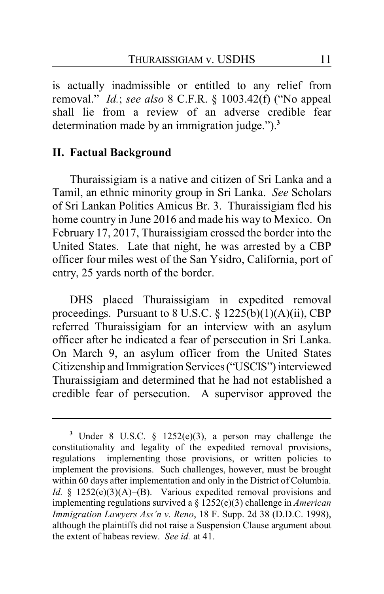is actually inadmissible or entitled to any relief from removal." *Id.*; *see also* 8 C.F.R. § 1003.42(f) ("No appeal shall lie from a review of an adverse credible fear determination made by an immigration judge.").**<sup>3</sup>**

### **II. Factual Background**

Thuraissigiam is a native and citizen of Sri Lanka and a Tamil, an ethnic minority group in Sri Lanka. *See* Scholars of Sri Lankan Politics Amicus Br. 3. Thuraissigiam fled his home country in June 2016 and made his way to Mexico. On February 17, 2017, Thuraissigiam crossed the border into the United States. Late that night, he was arrested by a CBP officer four miles west of the San Ysidro, California, port of entry, 25 yards north of the border.

DHS placed Thuraissigiam in expedited removal proceedings. Pursuant to 8 U.S.C. § 1225(b)(1)(A)(ii), CBP referred Thuraissigiam for an interview with an asylum officer after he indicated a fear of persecution in Sri Lanka. On March 9, an asylum officer from the United States Citizenship and Immigration Services ("USCIS") interviewed Thuraissigiam and determined that he had not established a credible fear of persecution. A supervisor approved the

**<sup>3</sup>** Under 8 U.S.C. § 1252(e)(3), a person may challenge the constitutionality and legality of the expedited removal provisions, regulations implementing those provisions, or written policies to implement the provisions. Such challenges, however, must be brought within 60 days after implementation and only in the District of Columbia. *Id.* § 1252(e)(3)(A)–(B). Various expedited removal provisions and implementing regulations survived a § 1252(e)(3) challenge in *American Immigration Lawyers Ass'n v. Reno*, 18 F. Supp. 2d 38 (D.D.C. 1998), although the plaintiffs did not raise a Suspension Clause argument about the extent of habeas review. *See id.* at 41.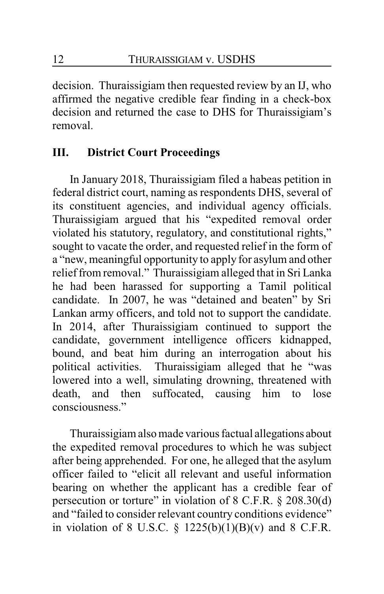decision. Thuraissigiam then requested review by an IJ, who affirmed the negative credible fear finding in a check-box decision and returned the case to DHS for Thuraissigiam's removal.

## **III. District Court Proceedings**

In January 2018, Thuraissigiam filed a habeas petition in federal district court, naming as respondents DHS, several of its constituent agencies, and individual agency officials. Thuraissigiam argued that his "expedited removal order violated his statutory, regulatory, and constitutional rights," sought to vacate the order, and requested relief in the form of a "new, meaningful opportunity to apply for asylum and other relief from removal." Thuraissigiam alleged that in Sri Lanka he had been harassed for supporting a Tamil political candidate. In 2007, he was "detained and beaten" by Sri Lankan army officers, and told not to support the candidate. In 2014, after Thuraissigiam continued to support the candidate, government intelligence officers kidnapped, bound, and beat him during an interrogation about his political activities. Thuraissigiam alleged that he "was lowered into a well, simulating drowning, threatened with death, and then suffocated, causing him to lose suffocated, causing him to lose consciousness."

Thuraissigiam also made various factual allegations about the expedited removal procedures to which he was subject after being apprehended. For one, he alleged that the asylum officer failed to "elicit all relevant and useful information bearing on whether the applicant has a credible fear of persecution or torture" in violation of 8 C.F.R. § 208.30(d) and "failed to consider relevant country conditions evidence" in violation of 8 U.S.C.  $\S$  1225(b)(1)(B)(v) and 8 C.F.R.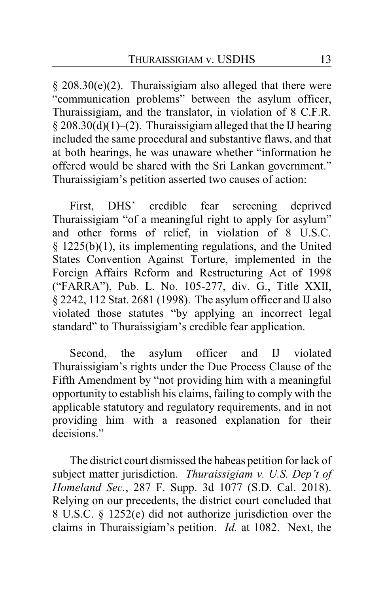§ 208.30(e)(2). Thuraissigiam also alleged that there were "communication problems" between the asylum officer, Thuraissigiam, and the translator, in violation of 8 C.F.R.  $§$  208.30(d)(1)–(2). Thuraissigiam alleged that the IJ hearing included the same procedural and substantive flaws, and that at both hearings, he was unaware whether "information he offered would be shared with the Sri Lankan government." Thuraissigiam's petition asserted two causes of action:

First, DHS' credible fear screening deprived Thuraissigiam "of a meaningful right to apply for asylum" and other forms of relief, in violation of 8 U.S.C. § 1225(b)(1), its implementing regulations, and the United States Convention Against Torture, implemented in the Foreign Affairs Reform and Restructuring Act of 1998 ("FARRA"), Pub. L. No. 105-277, div. G., Title XXII, § 2242, 112 Stat. 2681 (1998). The asylum officer and IJ also violated those statutes "by applying an incorrect legal standard" to Thuraissigiam's credible fear application.

Second, the asylum officer and IJ violated Thuraissigiam's rights under the Due Process Clause of the Fifth Amendment by "not providing him with a meaningful opportunity to establish his claims, failing to comply with the applicable statutory and regulatory requirements, and in not providing him with a reasoned explanation for their decisions."

The district court dismissed the habeas petition for lack of subject matter jurisdiction. *Thuraissigiam v. U.S. Dep't of Homeland Sec.*, 287 F. Supp. 3d 1077 (S.D. Cal. 2018). Relying on our precedents, the district court concluded that 8 U.S.C. § 1252(e) did not authorize jurisdiction over the claims in Thuraissigiam's petition. *Id.* at 1082. Next, the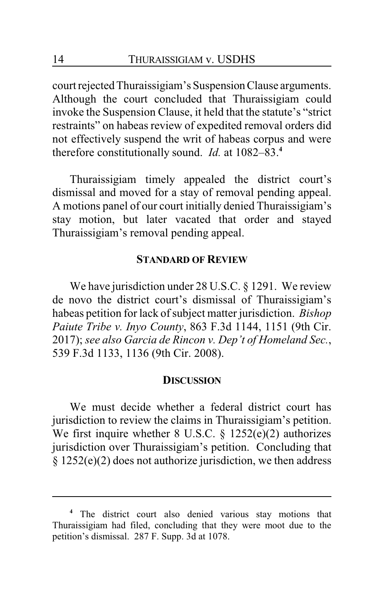court rejected Thuraissigiam's SuspensionClause arguments. Although the court concluded that Thuraissigiam could invoke the Suspension Clause, it held that the statute's "strict restraints" on habeas review of expedited removal orders did not effectively suspend the writ of habeas corpus and were therefore constitutionally sound. *Id.* at 1082–83.**<sup>4</sup>**

Thuraissigiam timely appealed the district court's dismissal and moved for a stay of removal pending appeal. A motions panel of our court initially denied Thuraissigiam's stay motion, but later vacated that order and stayed Thuraissigiam's removal pending appeal.

#### **STANDARD OF REVIEW**

We have jurisdiction under 28 U.S.C. § 1291. We review de novo the district court's dismissal of Thuraissigiam's habeas petition for lack of subject matter jurisdiction. *Bishop Paiute Tribe v. Inyo County*, 863 F.3d 1144, 1151 (9th Cir. 2017); *see also Garcia de Rincon v. Dep't of Homeland Sec.*, 539 F.3d 1133, 1136 (9th Cir. 2008).

#### **DISCUSSION**

We must decide whether a federal district court has jurisdiction to review the claims in Thuraissigiam's petition. We first inquire whether 8 U.S.C. § 1252(e)(2) authorizes jurisdiction over Thuraissigiam's petition. Concluding that  $§ 1252(e)(2)$  does not authorize jurisdiction, we then address

**<sup>4</sup>** The district court also denied various stay motions that Thuraissigiam had filed, concluding that they were moot due to the petition's dismissal. 287 F. Supp. 3d at 1078.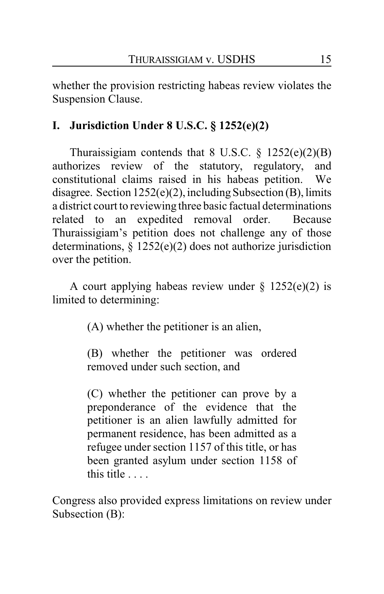whether the provision restricting habeas review violates the Suspension Clause.

## **I. Jurisdiction Under 8 U.S.C. § 1252(e)(2)**

Thuraissigiam contends that 8 U.S.C.  $\S$  1252(e)(2)(B) authorizes review of the statutory, regulatory, and constitutional claims raised in his habeas petition. We disagree. Section 1252(e)(2), including Subsection (B), limits a district court to reviewing three basic factual determinations related to an expedited removal order. Because Thuraissigiam's petition does not challenge any of those determinations, § 1252(e)(2) does not authorize jurisdiction over the petition.

A court applying habeas review under  $\S$  1252(e)(2) is limited to determining:

(A) whether the petitioner is an alien,

(B) whether the petitioner was ordered removed under such section, and

(C) whether the petitioner can prove by a preponderance of the evidence that the petitioner is an alien lawfully admitted for permanent residence, has been admitted as a refugee under section 1157 of this title, or has been granted asylum under section 1158 of this title . . . .

Congress also provided express limitations on review under Subsection (B):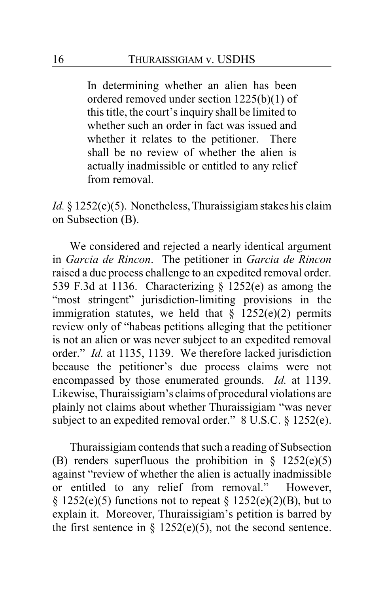In determining whether an alien has been ordered removed under section 1225(b)(1) of this title, the court's inquiry shall be limited to whether such an order in fact was issued and whether it relates to the petitioner. There shall be no review of whether the alien is actually inadmissible or entitled to any relief from removal.

*Id.* § 1252(e)(5). Nonetheless, Thuraissigiam stakes his claim on Subsection (B).

We considered and rejected a nearly identical argument in *Garcia de Rincon*. The petitioner in *Garcia de Rincon* raised a due process challenge to an expedited removal order. 539 F.3d at 1136. Characterizing § 1252(e) as among the "most stringent" jurisdiction-limiting provisions in the immigration statutes, we held that  $\S$  1252(e)(2) permits review only of "habeas petitions alleging that the petitioner is not an alien or was never subject to an expedited removal order." *Id.* at 1135, 1139. We therefore lacked jurisdiction because the petitioner's due process claims were not encompassed by those enumerated grounds. *Id.* at 1139. Likewise, Thuraissigiam's claims of procedural violations are plainly not claims about whether Thuraissigiam "was never subject to an expedited removal order." 8 U.S.C. § 1252(e).

Thuraissigiam contends that such a reading of Subsection (B) renders superfluous the prohibition in  $\S$  1252(e)(5) against "review of whether the alien is actually inadmissible or entitled to any relief from removal." However, § 1252(e)(5) functions not to repeat § 1252(e)(2)(B), but to explain it. Moreover, Thuraissigiam's petition is barred by the first sentence in  $\S$  1252(e)(5), not the second sentence.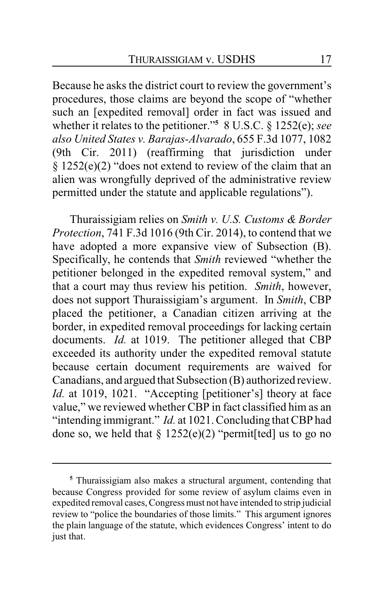Because he asks the district court to review the government's procedures, those claims are beyond the scope of "whether such an [expedited removal] order in fact was issued and whether it relates to the petitioner."**<sup>5</sup>** 8 U.S.C. § 1252(e); *see also United States v. Barajas-Alvarado*, 655 F.3d 1077, 1082 (9th Cir. 2011) (reaffirming that jurisdiction under § 1252(e)(2) "does not extend to review of the claim that an alien was wrongfully deprived of the administrative review permitted under the statute and applicable regulations").

Thuraissigiam relies on *Smith v. U.S. Customs & Border Protection*, 741 F.3d 1016 (9th Cir. 2014), to contend that we have adopted a more expansive view of Subsection (B). Specifically, he contends that *Smith* reviewed "whether the petitioner belonged in the expedited removal system," and that a court may thus review his petition. *Smith*, however, does not support Thuraissigiam's argument. In *Smith*, CBP placed the petitioner, a Canadian citizen arriving at the border, in expedited removal proceedings for lacking certain documents. *Id.* at 1019. The petitioner alleged that CBP exceeded its authority under the expedited removal statute because certain document requirements are waived for Canadians, and argued that Subsection (B) authorized review. *Id.* at 1019, 1021. "Accepting [petitioner's] theory at face value," we reviewed whether CBP in fact classified him as an "intending immigrant." *Id.* at 1021. Concluding that CBP had done so, we held that  $\S 1252(e)(2)$  "permit [ted] us to go no

**<sup>5</sup>** Thuraissigiam also makes a structural argument, contending that because Congress provided for some review of asylum claims even in expedited removal cases, Congress must not have intended to strip judicial review to "police the boundaries of those limits." This argument ignores the plain language of the statute, which evidences Congress' intent to do just that.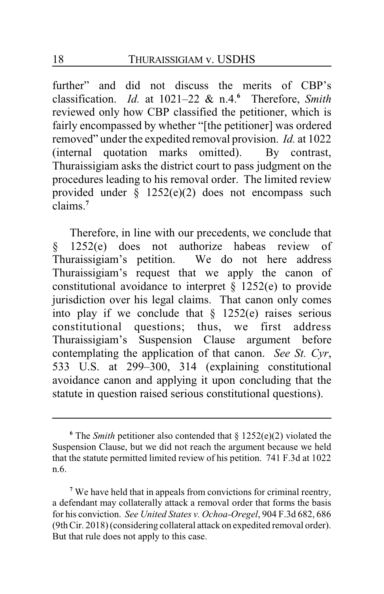further" and did not discuss the merits of CBP's classification. *Id.* at 1021–22 & n.4.**<sup>6</sup>** Therefore, *Smith* reviewed only how CBP classified the petitioner, which is fairly encompassed by whether "[the petitioner] was ordered removed" under the expedited removal provision. *Id.* at 1022 (internal quotation marks omitted). By contrast, Thuraissigiam asks the district court to pass judgment on the procedures leading to his removal order. The limited review provided under § 1252(e)(2) does not encompass such claims.**<sup>7</sup>**

Therefore, in line with our precedents, we conclude that § 1252(e) does not authorize habeas review of Thuraissigiam's petition. We do not here address Thuraissigiam's request that we apply the canon of constitutional avoidance to interpret  $\S$  1252(e) to provide jurisdiction over his legal claims. That canon only comes into play if we conclude that  $\S$  1252(e) raises serious constitutional questions; thus, we first address Thuraissigiam's Suspension Clause argument before contemplating the application of that canon. *See St. Cyr*, 533 U.S. at 299–300, 314 (explaining constitutional avoidance canon and applying it upon concluding that the statute in question raised serious constitutional questions).

**<sup>6</sup>** The *Smith* petitioner also contended that § 1252(e)(2) violated the Suspension Clause, but we did not reach the argument because we held that the statute permitted limited review of his petition. 741 F.3d at 1022 n.6.

<sup>&</sup>lt;sup>7</sup> We have held that in appeals from convictions for criminal reentry, a defendant may collaterally attack a removal order that forms the basis for his conviction. *See United States v. Ochoa-Oregel*, 904 F.3d 682, 686 (9thCir. 2018) (considering collateral attack on expedited removal order). But that rule does not apply to this case.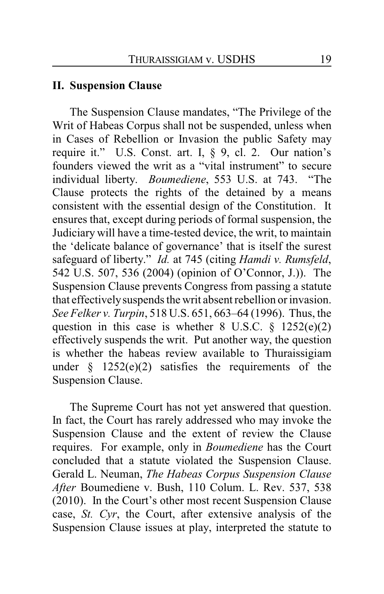### **II. Suspension Clause**

The Suspension Clause mandates, "The Privilege of the Writ of Habeas Corpus shall not be suspended, unless when in Cases of Rebellion or Invasion the public Safety may require it." U.S. Const. art. I, § 9, cl. 2. Our nation's founders viewed the writ as a "vital instrument" to secure individual liberty. *Boumediene*, 553 U.S. at 743. "The Clause protects the rights of the detained by a means consistent with the essential design of the Constitution. It ensures that, except during periods of formal suspension, the Judiciary will have a time-tested device, the writ, to maintain the 'delicate balance of governance' that is itself the surest safeguard of liberty." *Id.* at 745 (citing *Hamdi v. Rumsfeld*, 542 U.S. 507, 536 (2004) (opinion of O'Connor, J.)). The Suspension Clause prevents Congress from passing a statute that effectivelysuspends the writ absent rebellion or invasion. *See Felker v. Turpin*, 518 U.S. 651, 663–64 (1996). Thus, the question in this case is whether 8 U.S.C.  $\frac{1252(e)(2)}{2}$ effectively suspends the writ. Put another way, the question is whether the habeas review available to Thuraissigiam under  $\frac{1252(e)(2)}{2}$  satisfies the requirements of the Suspension Clause.

The Supreme Court has not yet answered that question. In fact, the Court has rarely addressed who may invoke the Suspension Clause and the extent of review the Clause requires. For example, only in *Boumediene* has the Court concluded that a statute violated the Suspension Clause. Gerald L. Neuman, *The Habeas Corpus Suspension Clause After* Boumediene v. Bush, 110 Colum. L. Rev. 537, 538 (2010). In the Court's other most recent Suspension Clause case, *St. Cyr*, the Court, after extensive analysis of the Suspension Clause issues at play, interpreted the statute to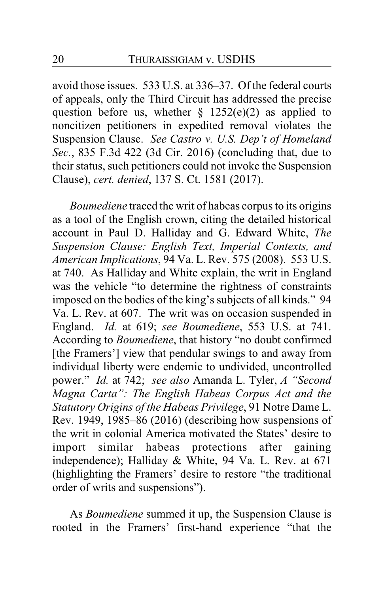avoid those issues. 533 U.S. at 336–37. Of the federal courts of appeals, only the Third Circuit has addressed the precise question before us, whether  $\S$  1252(e)(2) as applied to noncitizen petitioners in expedited removal violates the Suspension Clause. *See Castro v. U.S. Dep't of Homeland Sec.*, 835 F.3d 422 (3d Cir. 2016) (concluding that, due to their status, such petitioners could not invoke the Suspension Clause), *cert. denied*, 137 S. Ct. 1581 (2017).

*Boumediene* traced the writ of habeas corpus to its origins as a tool of the English crown, citing the detailed historical account in Paul D. Halliday and G. Edward White, *The Suspension Clause: English Text, Imperial Contexts, and American Implications*, 94 Va. L. Rev. 575 (2008). 553 U.S. at 740. As Halliday and White explain, the writ in England was the vehicle "to determine the rightness of constraints imposed on the bodies of the king's subjects of all kinds." 94 Va. L. Rev. at 607. The writ was on occasion suspended in England. *Id.* at 619; *see Boumediene*, 553 U.S. at 741. According to *Boumediene*, that history "no doubt confirmed [the Framers'] view that pendular swings to and away from individual liberty were endemic to undivided, uncontrolled power." *Id.* at 742; *see also* Amanda L. Tyler, *A "Second Magna Carta": The English Habeas Corpus Act and the Statutory Origins of the Habeas Privilege*, 91 Notre Dame L. Rev. 1949, 1985–86 (2016) (describing how suspensions of the writ in colonial America motivated the States' desire to import similar habeas protections after gaining independence); Halliday & White, 94 Va. L. Rev. at 671 (highlighting the Framers' desire to restore "the traditional order of writs and suspensions").

As *Boumediene* summed it up, the Suspension Clause is rooted in the Framers' first-hand experience "that the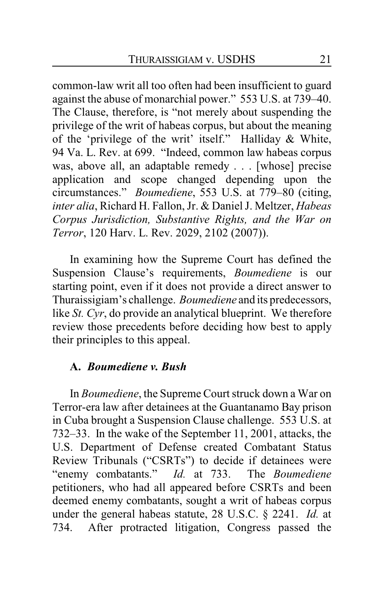common-law writ all too often had been insufficient to guard against the abuse of monarchial power." 553 U.S. at 739–40. The Clause, therefore, is "not merely about suspending the privilege of the writ of habeas corpus, but about the meaning of the 'privilege of the writ' itself." Halliday & White, 94 Va. L. Rev. at 699. "Indeed, common law habeas corpus was, above all, an adaptable remedy . . . [whose] precise application and scope changed depending upon the circumstances." *Boumediene*, 553 U.S. at 779–80 (citing, *inter alia*, Richard H. Fallon, Jr. & Daniel J. Meltzer, *Habeas Corpus Jurisdiction, Substantive Rights, and the War on Terror*, 120 Harv. L. Rev. 2029, 2102 (2007)).

In examining how the Supreme Court has defined the Suspension Clause's requirements, *Boumediene* is our starting point, even if it does not provide a direct answer to Thuraissigiam's challenge. *Boumediene* and its predecessors, like *St. Cyr*, do provide an analytical blueprint. We therefore review those precedents before deciding how best to apply their principles to this appeal.

### **A.** *Boumediene v. Bush*

In *Boumediene*, the Supreme Court struck down a War on Terror-era law after detainees at the Guantanamo Bay prison in Cuba brought a Suspension Clause challenge. 553 U.S. at 732–33. In the wake of the September 11, 2001, attacks, the U.S. Department of Defense created Combatant Status Review Tribunals ("CSRTs") to decide if detainees were "enemy combatants." *Id.* at 733. The *Boumediene* petitioners, who had all appeared before CSRTs and been deemed enemy combatants, sought a writ of habeas corpus under the general habeas statute, 28 U.S.C. § 2241. *Id.* at 734. After protracted litigation, Congress passed the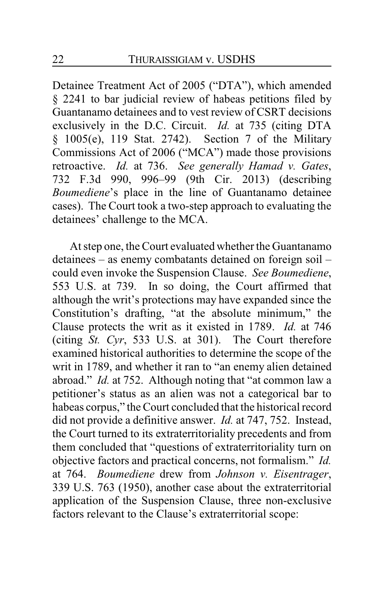Detainee Treatment Act of 2005 ("DTA"), which amended § 2241 to bar judicial review of habeas petitions filed by Guantanamo detainees and to vest review of CSRT decisions exclusively in the D.C. Circuit. *Id.* at 735 (citing DTA § 1005(e), 119 Stat. 2742). Section 7 of the Military Commissions Act of 2006 ("MCA") made those provisions retroactive. *Id.* at 736. *See generally Hamad v. Gates*, 732 F.3d 990, 996–99 (9th Cir. 2013) (describing *Boumediene*'s place in the line of Guantanamo detainee cases). The Court took a two-step approach to evaluating the detainees' challenge to the MCA.

At step one, the Court evaluated whether the Guantanamo detainees – as enemy combatants detained on foreign soil – could even invoke the Suspension Clause. *See Boumediene*, 553 U.S. at 739. In so doing, the Court affirmed that although the writ's protections may have expanded since the Constitution's drafting, "at the absolute minimum," the Clause protects the writ as it existed in 1789. *Id.* at 746 (citing *St. Cyr*, 533 U.S. at 301). The Court therefore examined historical authorities to determine the scope of the writ in 1789, and whether it ran to "an enemy alien detained abroad." *Id.* at 752. Although noting that "at common law a petitioner's status as an alien was not a categorical bar to habeas corpus," the Court concluded that the historical record did not provide a definitive answer. *Id.* at 747, 752. Instead, the Court turned to its extraterritoriality precedents and from them concluded that "questions of extraterritoriality turn on objective factors and practical concerns, not formalism." *Id.* at 764. *Boumediene* drew from *Johnson v. Eisentrager*, 339 U.S. 763 (1950), another case about the extraterritorial application of the Suspension Clause, three non-exclusive factors relevant to the Clause's extraterritorial scope: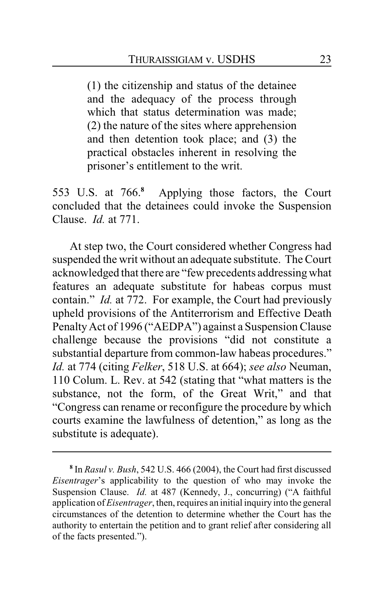(1) the citizenship and status of the detainee and the adequacy of the process through which that status determination was made: (2) the nature of the sites where apprehension and then detention took place; and (3) the practical obstacles inherent in resolving the prisoner's entitlement to the writ.

553 U.S. at 766.**<sup>8</sup>** Applying those factors, the Court concluded that the detainees could invoke the Suspension Clause. *Id.* at 771.

At step two, the Court considered whether Congress had suspended the writ without an adequate substitute. The Court acknowledged that there are "few precedents addressingwhat features an adequate substitute for habeas corpus must contain." *Id.* at 772. For example, the Court had previously upheld provisions of the Antiterrorism and Effective Death PenaltyAct of 1996 ("AEDPA") against a Suspension Clause challenge because the provisions "did not constitute a substantial departure from common-law habeas procedures." *Id.* at 774 (citing *Felker*, 518 U.S. at 664); *see also* Neuman, 110 Colum. L. Rev. at 542 (stating that "what matters is the substance, not the form, of the Great Writ," and that "Congress can rename or reconfigure the procedure by which courts examine the lawfulness of detention," as long as the substitute is adequate).

**<sup>8</sup>** In *Rasul v. Bush*, 542 U.S. 466 (2004), the Court had first discussed *Eisentrager*'s applicability to the question of who may invoke the Suspension Clause. *Id.* at 487 (Kennedy, J., concurring) ("A faithful application of*Eisentrager*, then, requires an initial inquiry into the general circumstances of the detention to determine whether the Court has the authority to entertain the petition and to grant relief after considering all of the facts presented.").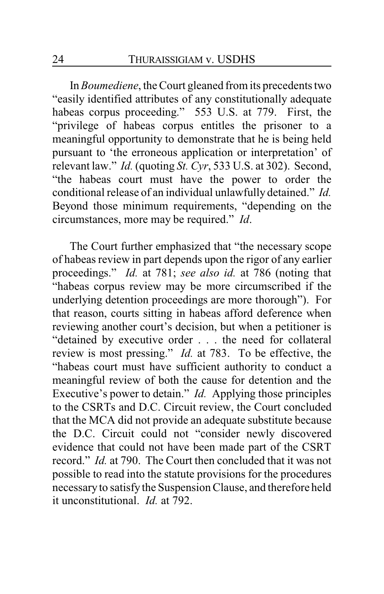In *Boumediene*, the Court gleaned from its precedents two "easily identified attributes of any constitutionally adequate habeas corpus proceeding." 553 U.S. at 779. First, the "privilege of habeas corpus entitles the prisoner to a meaningful opportunity to demonstrate that he is being held pursuant to 'the erroneous application or interpretation' of relevant law." *Id.* (quoting *St. Cyr*, 533 U.S. at 302). Second, "the habeas court must have the power to order the conditional release of an individual unlawfully detained." *Id.*  Beyond those minimum requirements, "depending on the circumstances, more may be required." *Id*.

The Court further emphasized that "the necessary scope of habeas review in part depends upon the rigor of any earlier proceedings." *Id.* at 781; *see also id.* at 786 (noting that "habeas corpus review may be more circumscribed if the underlying detention proceedings are more thorough"). For that reason, courts sitting in habeas afford deference when reviewing another court's decision, but when a petitioner is "detained by executive order . . . the need for collateral review is most pressing." *Id.* at 783. To be effective, the "habeas court must have sufficient authority to conduct a meaningful review of both the cause for detention and the Executive's power to detain." *Id.* Applying those principles to the CSRTs and D.C. Circuit review, the Court concluded that the MCA did not provide an adequate substitute because the D.C. Circuit could not "consider newly discovered evidence that could not have been made part of the CSRT record." *Id.* at 790. The Court then concluded that it was not possible to read into the statute provisions for the procedures necessaryto satisfy the Suspension Clause, and therefore held it unconstitutional. *Id.* at 792.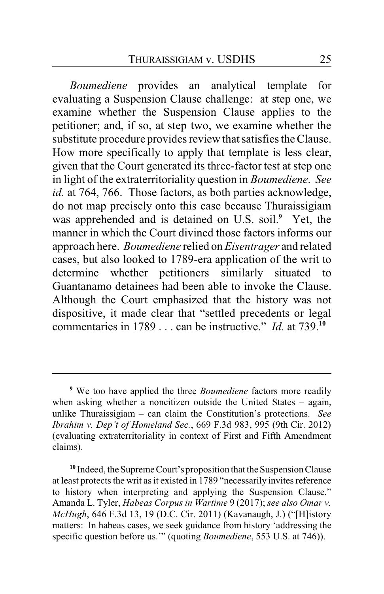*Boumediene* provides an analytical template for evaluating a Suspension Clause challenge: at step one, we examine whether the Suspension Clause applies to the petitioner; and, if so, at step two, we examine whether the substitute procedure provides review that satisfies the Clause. How more specifically to apply that template is less clear, given that the Court generated its three-factor test at step one in light of the extraterritoriality question in *Boumediene*. *See id.* at 764, 766. Those factors, as both parties acknowledge, do not map precisely onto this case because Thuraissigiam was apprehended and is detained on U.S. soil.**<sup>9</sup>** Yet, the manner in which the Court divined those factors informs our approach here. *Boumediene* relied on *Eisentrager* and related cases, but also looked to 1789-era application of the writ to determine whether petitioners similarly situated to Guantanamo detainees had been able to invoke the Clause. Although the Court emphasized that the history was not dispositive, it made clear that "settled precedents or legal commentaries in 1789 . . . can be instructive." *Id.* at 739.**<sup>10</sup>**

**<sup>9</sup>** We too have applied the three *Boumediene* factors more readily when asking whether a noncitizen outside the United States – again, unlike Thuraissigiam – can claim the Constitution's protections. *See Ibrahim v. Dep't of Homeland Sec.*, 669 F.3d 983, 995 (9th Cir. 2012) (evaluating extraterritoriality in context of First and Fifth Amendment claims).

<sup>&</sup>lt;sup>10</sup> Indeed, the Supreme Court's proposition that the Suspension Clause at least protects the writ as it existed in 1789 "necessarily invites reference to history when interpreting and applying the Suspension Clause." Amanda L. Tyler, *Habeas Corpus in Wartime* 9 (2017); *see also Omar v. McHugh*, 646 F.3d 13, 19 (D.C. Cir. 2011) (Kavanaugh, J.) ("[H]istory matters: In habeas cases, we seek guidance from history 'addressing the specific question before us.'" (quoting *Boumediene*, 553 U.S. at 746)).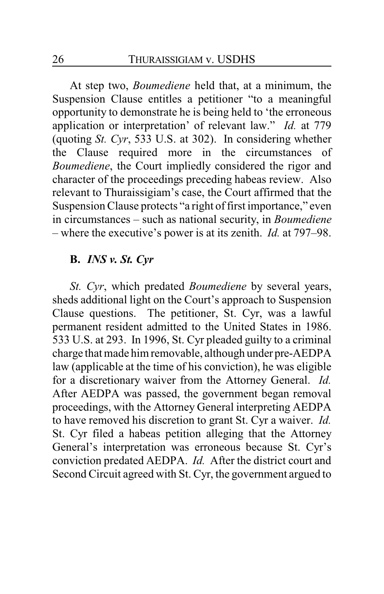At step two, *Boumediene* held that, at a minimum, the Suspension Clause entitles a petitioner "to a meaningful opportunity to demonstrate he is being held to 'the erroneous application or interpretation' of relevant law." *Id.* at 779 (quoting *St. Cyr*, 533 U.S. at 302). In considering whether the Clause required more in the circumstances of *Boumediene*, the Court impliedly considered the rigor and character of the proceedings preceding habeas review. Also relevant to Thuraissigiam's case, the Court affirmed that the Suspension Clause protects "a right of first importance," even in circumstances – such as national security, in *Boumediene* – where the executive's power is at its zenith. *Id.* at 797–98.

## **B.** *INS v. St. Cyr*

*St. Cyr*, which predated *Boumediene* by several years, sheds additional light on the Court's approach to Suspension Clause questions. The petitioner, St. Cyr, was a lawful permanent resident admitted to the United States in 1986. 533 U.S. at 293. In 1996, St. Cyr pleaded guilty to a criminal charge that made him removable, although under pre-AEDPA law (applicable at the time of his conviction), he was eligible for a discretionary waiver from the Attorney General. *Id.* After AEDPA was passed, the government began removal proceedings, with the Attorney General interpreting AEDPA to have removed his discretion to grant St. Cyr a waiver. *Id.* St. Cyr filed a habeas petition alleging that the Attorney General's interpretation was erroneous because St. Cyr's conviction predated AEDPA. *Id.* After the district court and Second Circuit agreed with St. Cyr, the government argued to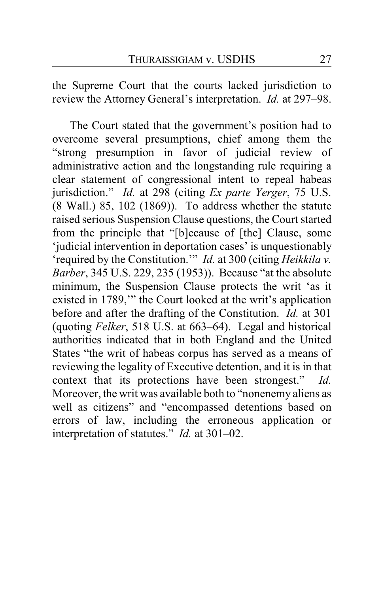the Supreme Court that the courts lacked jurisdiction to review the Attorney General's interpretation. *Id.* at 297–98.

The Court stated that the government's position had to overcome several presumptions, chief among them the "strong presumption in favor of judicial review of administrative action and the longstanding rule requiring a clear statement of congressional intent to repeal habeas jurisdiction." *Id.* at 298 (citing *Ex parte Yerger*, 75 U.S. (8 Wall.) 85, 102 (1869)). To address whether the statute raised serious Suspension Clause questions, the Court started from the principle that "[b]ecause of [the] Clause, some 'judicial intervention in deportation cases' is unquestionably 'required by the Constitution.'" *Id.* at 300 (citing *Heikkila v. Barber*, 345 U.S. 229, 235 (1953)). Because "at the absolute minimum, the Suspension Clause protects the writ 'as it existed in 1789,'" the Court looked at the writ's application before and after the drafting of the Constitution. *Id.* at 301 (quoting *Felker*, 518 U.S. at 663–64). Legal and historical authorities indicated that in both England and the United States "the writ of habeas corpus has served as a means of reviewing the legality of Executive detention, and it is in that context that its protections have been strongest." *Id.*  Moreover, the writ was available both to "nonenemy aliens as well as citizens" and "encompassed detentions based on errors of law, including the erroneous application or interpretation of statutes." *Id.* at 301–02.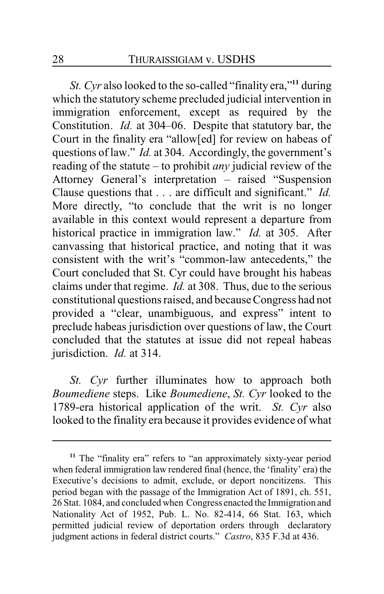*St. Cyr* also looked to the so-called "finality era,"**<sup>11</sup>** during which the statutory scheme precluded judicial intervention in immigration enforcement, except as required by the Constitution. *Id.* at 304–06. Despite that statutory bar, the Court in the finality era "allow[ed] for review on habeas of questions of law." *Id.* at 304. Accordingly, the government's reading of the statute – to prohibit *any* judicial review of the Attorney General's interpretation – raised "Suspension Clause questions that . . . are difficult and significant." *Id.* More directly, "to conclude that the writ is no longer available in this context would represent a departure from historical practice in immigration law." *Id.* at 305. After canvassing that historical practice, and noting that it was consistent with the writ's "common-law antecedents," the Court concluded that St. Cyr could have brought his habeas claims under that regime. *Id.* at 308. Thus, due to the serious constitutional questions raised, and because Congress had not provided a "clear, unambiguous, and express" intent to preclude habeas jurisdiction over questions of law, the Court concluded that the statutes at issue did not repeal habeas jurisdiction. *Id.* at 314.

*St. Cyr* further illuminates how to approach both *Boumediene* steps. Like *Boumediene*, *St. Cyr* looked to the 1789-era historical application of the writ. *St. Cyr* also looked to the finality era because it provides evidence of what

**<sup>11</sup>** The "finality era" refers to "an approximately sixty-year period when federal immigration law rendered final (hence, the 'finality' era) the Executive's decisions to admit, exclude, or deport noncitizens. This period began with the passage of the Immigration Act of 1891, ch. 551, 26 Stat. 1084, and concluded when Congress enacted the Immigration and Nationality Act of 1952, Pub. L. No. 82-414, 66 Stat. 163, which permitted judicial review of deportation orders through declaratory judgment actions in federal district courts." *Castro*, 835 F.3d at 436.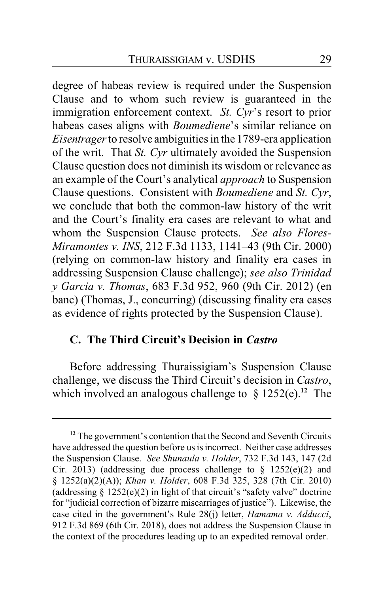degree of habeas review is required under the Suspension Clause and to whom such review is guaranteed in the immigration enforcement context. *St. Cyr*'s resort to prior habeas cases aligns with *Boumediene*'s similar reliance on *Eisentrager*to resolve ambiguities in the 1789-era application of the writ. That *St. Cyr* ultimately avoided the Suspension Clause question does not diminish its wisdom or relevance as an example of the Court's analytical *approach* to Suspension Clause questions. Consistent with *Boumediene* and *St. Cyr*, we conclude that both the common-law history of the writ and the Court's finality era cases are relevant to what and whom the Suspension Clause protects. *See also Flores-Miramontes v. INS*, 212 F.3d 1133, 1141–43 (9th Cir. 2000) (relying on common-law history and finality era cases in addressing Suspension Clause challenge); *see also Trinidad y Garcia v. Thomas*, 683 F.3d 952, 960 (9th Cir. 2012) (en banc) (Thomas, J., concurring) (discussing finality era cases as evidence of rights protected by the Suspension Clause).

## **C. The Third Circuit's Decision in** *Castro*

Before addressing Thuraissigiam's Suspension Clause challenge, we discuss the Third Circuit's decision in *Castro*, which involved an analogous challenge to § 1252(e).**<sup>12</sup>** The

<sup>&</sup>lt;sup>12</sup> The government's contention that the Second and Seventh Circuits have addressed the question before us is incorrect. Neither case addresses the Suspension Clause. *See Shunaula v. Holder*, 732 F.3d 143, 147 (2d Cir. 2013) (addressing due process challenge to  $\S$  1252(e)(2) and § 1252(a)(2)(A)); *Khan v. Holder*, 608 F.3d 325, 328 (7th Cir. 2010) (addressing  $\S 1252(e)(2)$  in light of that circuit's "safety valve" doctrine for "judicial correction of bizarre miscarriages of justice"). Likewise, the case cited in the government's Rule 28(j) letter, *Hamama v. Adducci*, 912 F.3d 869 (6th Cir. 2018), does not address the Suspension Clause in the context of the procedures leading up to an expedited removal order.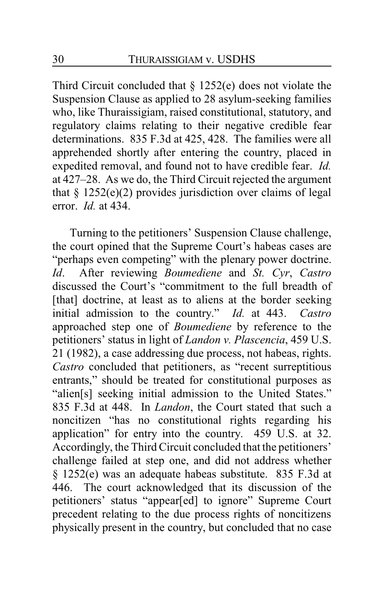Third Circuit concluded that  $\S$  1252(e) does not violate the Suspension Clause as applied to 28 asylum-seeking families who, like Thuraissigiam, raised constitutional, statutory, and regulatory claims relating to their negative credible fear determinations. 835 F.3d at 425, 428. The families were all apprehended shortly after entering the country, placed in expedited removal, and found not to have credible fear. *Id.* at 427–28. As we do, the Third Circuit rejected the argument that  $\S$  1252(e)(2) provides jurisdiction over claims of legal error. *Id.* at 434.

Turning to the petitioners' Suspension Clause challenge, the court opined that the Supreme Court's habeas cases are "perhaps even competing" with the plenary power doctrine. *Id*. After reviewing *Boumediene* and *St. Cyr*, *Castro* discussed the Court's "commitment to the full breadth of [that] doctrine, at least as to aliens at the border seeking initial admission to the country." *Id.* at 443. *Castro* approached step one of *Boumediene* by reference to the petitioners' status in light of *Landon v. Plascencia*, 459 U.S. 21 (1982), a case addressing due process, not habeas, rights. *Castro* concluded that petitioners, as "recent surreptitious entrants," should be treated for constitutional purposes as "alien[s] seeking initial admission to the United States." 835 F.3d at 448. In *Landon*, the Court stated that such a noncitizen "has no constitutional rights regarding his application" for entry into the country. 459 U.S. at 32. Accordingly, the Third Circuit concluded that the petitioners' challenge failed at step one, and did not address whether § 1252(e) was an adequate habeas substitute. 835 F.3d at 446. The court acknowledged that its discussion of the petitioners' status "appear[ed] to ignore" Supreme Court precedent relating to the due process rights of noncitizens physically present in the country, but concluded that no case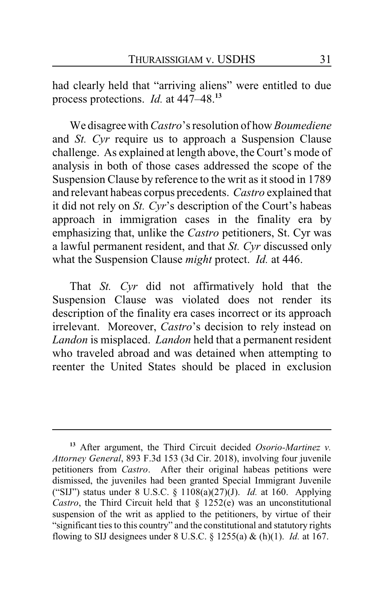had clearly held that "arriving aliens" were entitled to due process protections. *Id.* at 447–48.**<sup>13</sup>**

We disagree with *Castro*'s resolution of how *Boumediene* and *St. Cyr* require us to approach a Suspension Clause challenge. As explained at length above, the Court's mode of analysis in both of those cases addressed the scope of the Suspension Clause by reference to the writ as it stood in 1789 and relevant habeas corpus precedents. *Castro* explained that it did not rely on *St. Cyr*'s description of the Court's habeas approach in immigration cases in the finality era by emphasizing that, unlike the *Castro* petitioners, St. Cyr was a lawful permanent resident, and that *St. Cyr* discussed only what the Suspension Clause *might* protect. *Id.* at 446.

That *St. Cyr* did not affirmatively hold that the Suspension Clause was violated does not render its description of the finality era cases incorrect or its approach irrelevant. Moreover, *Castro*'s decision to rely instead on *Landon* is misplaced. *Landon* held that a permanent resident who traveled abroad and was detained when attempting to reenter the United States should be placed in exclusion

**<sup>13</sup>** After argument, the Third Circuit decided *Osorio-Martinez v. Attorney General*, 893 F.3d 153 (3d Cir. 2018), involving four juvenile petitioners from *Castro*. After their original habeas petitions were dismissed, the juveniles had been granted Special Immigrant Juvenile ("SIJ") status under 8 U.S.C. § 1108(a)(27)(J). *Id.* at 160. Applying *Castro*, the Third Circuit held that § 1252(e) was an unconstitutional suspension of the writ as applied to the petitioners, by virtue of their "significant ties to this country" and the constitutional and statutory rights flowing to SIJ designees under 8 U.S.C. § 1255(a) & (h)(1). *Id.* at 167.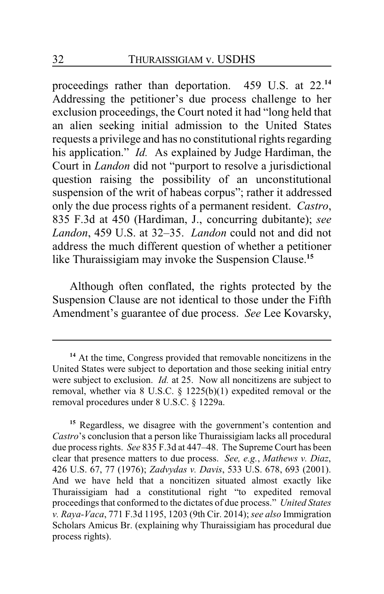proceedings rather than deportation. 459 U.S. at 22.**<sup>14</sup>** Addressing the petitioner's due process challenge to her exclusion proceedings, the Court noted it had "long held that an alien seeking initial admission to the United States requests a privilege and has no constitutional rights regarding his application." *Id.* As explained by Judge Hardiman, the Court in *Landon* did not "purport to resolve a jurisdictional question raising the possibility of an unconstitutional suspension of the writ of habeas corpus"; rather it addressed only the due process rights of a permanent resident. *Castro*, 835 F.3d at 450 (Hardiman, J., concurring dubitante); *see Landon*, 459 U.S. at 32–35. *Landon* could not and did not address the much different question of whether a petitioner like Thuraissigiam may invoke the Suspension Clause.**<sup>15</sup>**

Although often conflated, the rights protected by the Suspension Clause are not identical to those under the Fifth Amendment's guarantee of due process. *See* Lee Kovarsky,

**<sup>14</sup>** At the time, Congress provided that removable noncitizens in the United States were subject to deportation and those seeking initial entry were subject to exclusion. *Id.* at 25. Now all noncitizens are subject to removal, whether via 8 U.S.C. § 1225(b)(1) expedited removal or the removal procedures under 8 U.S.C. § 1229a.

**<sup>15</sup>** Regardless, we disagree with the government's contention and *Castro*'s conclusion that a person like Thuraissigiam lacks all procedural due process rights. *See* 835 F.3d at 447–48. The Supreme Court has been clear that presence matters to due process. *See, e.g.*, *Mathews v. Diaz*, 426 U.S. 67, 77 (1976); *Zadvydas v. Davis*, 533 U.S. 678, 693 (2001). And we have held that a noncitizen situated almost exactly like Thuraissigiam had a constitutional right "to expedited removal proceedings that conformed to the dictates of due process." *United States v. Raya-Vaca*, 771 F.3d 1195, 1203 (9th Cir. 2014); *see also* Immigration Scholars Amicus Br. (explaining why Thuraissigiam has procedural due process rights).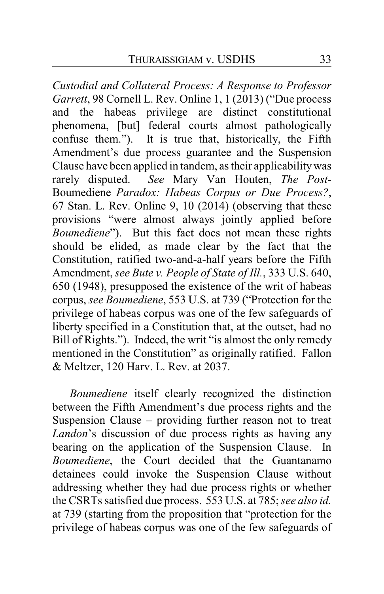*Custodial and Collateral Process: A Response to Professor Garrett*, 98 Cornell L. Rev. Online 1, 1 (2013) ("Due process and the habeas privilege are distinct constitutional phenomena, [but] federal courts almost pathologically confuse them."). It is true that, historically, the Fifth Amendment's due process guarantee and the Suspension Clause have been applied in tandem, as their applicabilitywas rarely disputed. *See* Mary Van Houten, *The Post-*Boumediene *Paradox: Habeas Corpus or Due Process?*, 67 Stan. L. Rev. Online 9, 10 (2014) (observing that these provisions "were almost always jointly applied before *Boumediene*"). But this fact does not mean these rights should be elided, as made clear by the fact that the Constitution, ratified two-and-a-half years before the Fifth Amendment, *see Bute v. People of State of Ill.*, 333 U.S. 640, 650 (1948), presupposed the existence of the writ of habeas corpus, *see Boumediene*, 553 U.S. at 739 ("Protection for the privilege of habeas corpus was one of the few safeguards of liberty specified in a Constitution that, at the outset, had no Bill of Rights."). Indeed, the writ "is almost the only remedy mentioned in the Constitution" as originally ratified. Fallon & Meltzer, 120 Harv. L. Rev. at 2037.

*Boumediene* itself clearly recognized the distinction between the Fifth Amendment's due process rights and the Suspension Clause – providing further reason not to treat *Landon*'s discussion of due process rights as having any bearing on the application of the Suspension Clause. In *Boumediene*, the Court decided that the Guantanamo detainees could invoke the Suspension Clause without addressing whether they had due process rights or whether the CSRTs satisfied due process. 553 U.S. at 785; *see also id.* at 739 (starting from the proposition that "protection for the privilege of habeas corpus was one of the few safeguards of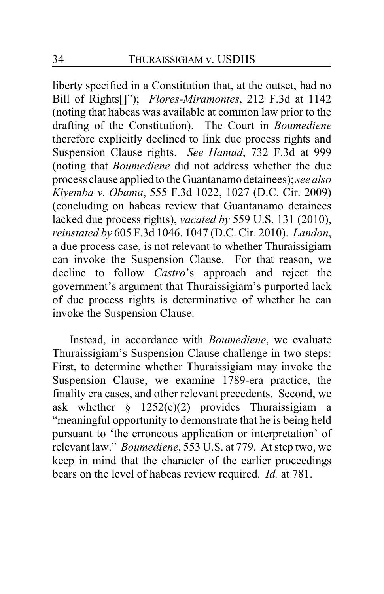liberty specified in a Constitution that, at the outset, had no Bill of Rights[]"); *Flores-Miramontes*, 212 F.3d at 1142 (noting that habeas was available at common law prior to the drafting of the Constitution). The Court in *Boumediene* therefore explicitly declined to link due process rights and Suspension Clause rights. *See Hamad*, 732 F.3d at 999 (noting that *Boumediene* did not address whether the due process clause applied to the Guantanamo detainees); *see also Kiyemba v. Obama*, 555 F.3d 1022, 1027 (D.C. Cir. 2009) (concluding on habeas review that Guantanamo detainees lacked due process rights), *vacated by* 559 U.S. 131 (2010), *reinstated by* 605 F.3d 1046, 1047 (D.C. Cir. 2010). *Landon*, a due process case, is not relevant to whether Thuraissigiam can invoke the Suspension Clause. For that reason, we decline to follow *Castro*'s approach and reject the government's argument that Thuraissigiam's purported lack of due process rights is determinative of whether he can invoke the Suspension Clause.

Instead, in accordance with *Boumediene*, we evaluate Thuraissigiam's Suspension Clause challenge in two steps: First, to determine whether Thuraissigiam may invoke the Suspension Clause, we examine 1789-era practice, the finality era cases, and other relevant precedents. Second, we ask whether  $\frac{1252(e)(2)}{e}$  provides Thuraissigiam a "meaningful opportunity to demonstrate that he is being held pursuant to 'the erroneous application or interpretation' of relevant law." *Boumediene*, 553 U.S. at 779. At step two, we keep in mind that the character of the earlier proceedings bears on the level of habeas review required. *Id.* at 781.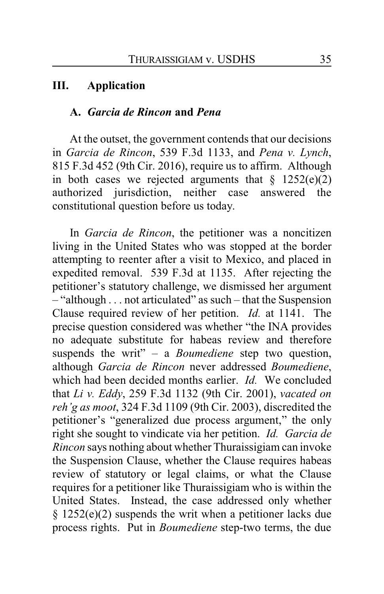### **III. Application**

### **A.** *Garcia de Rincon* **and** *Pena*

At the outset, the government contends that our decisions in *Garcia de Rincon*, 539 F.3d 1133, and *Pena v. Lynch*, 815 F.3d 452 (9th Cir. 2016), require us to affirm. Although in both cases we rejected arguments that  $\frac{1252(e)}{2}$ authorized jurisdiction, neither case answered the constitutional question before us today.

In *Garcia de Rincon*, the petitioner was a noncitizen living in the United States who was stopped at the border attempting to reenter after a visit to Mexico, and placed in expedited removal. 539 F.3d at 1135. After rejecting the petitioner's statutory challenge, we dismissed her argument – "although . . . not articulated" as such – that the Suspension Clause required review of her petition. *Id.* at 1141. The precise question considered was whether "the INA provides no adequate substitute for habeas review and therefore suspends the writ" – a *Boumediene* step two question, although *Garcia de Rincon* never addressed *Boumediene*, which had been decided months earlier. *Id.* We concluded that *Li v. Eddy*, 259 F.3d 1132 (9th Cir. 2001), *vacated on reh'g as moot*, 324 F.3d 1109 (9th Cir. 2003), discredited the petitioner's "generalized due process argument," the only right she sought to vindicate via her petition. *Id. Garcia de Rincon* says nothing about whether Thuraissigiam can invoke the Suspension Clause, whether the Clause requires habeas review of statutory or legal claims, or what the Clause requires for a petitioner like Thuraissigiam who is within the United States. Instead, the case addressed only whether § 1252(e)(2) suspends the writ when a petitioner lacks due process rights. Put in *Boumediene* step-two terms, the due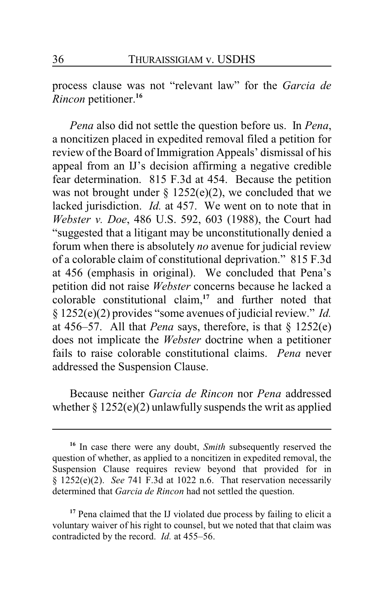process clause was not "relevant law" for the *Garcia de Rincon* petitioner.**<sup>16</sup>**

*Pena* also did not settle the question before us. In *Pena*, a noncitizen placed in expedited removal filed a petition for review of the Board of Immigration Appeals' dismissal of his appeal from an IJ's decision affirming a negative credible fear determination. 815 F.3d at 454. Because the petition was not brought under  $\S$  1252(e)(2), we concluded that we lacked jurisdiction. *Id.* at 457. We went on to note that in *Webster v. Doe*, 486 U.S. 592, 603 (1988), the Court had "suggested that a litigant may be unconstitutionally denied a forum when there is absolutely *no* avenue for judicial review of a colorable claim of constitutional deprivation." 815 F.3d at 456 (emphasis in original). We concluded that Pena's petition did not raise *Webster* concerns because he lacked a colorable constitutional claim,**<sup>17</sup>** and further noted that § 1252(e)(2) provides "some avenues of judicial review." *Id.* at 456–57. All that *Pena* says, therefore, is that § 1252(e) does not implicate the *Webster* doctrine when a petitioner fails to raise colorable constitutional claims. *Pena* never addressed the Suspension Clause.

Because neither *Garcia de Rincon* nor *Pena* addressed whether  $\S 1252(e)(2)$  unlawfully suspends the writ as applied

**<sup>16</sup>** In case there were any doubt, *Smith* subsequently reserved the question of whether, as applied to a noncitizen in expedited removal, the Suspension Clause requires review beyond that provided for in § 1252(e)(2). *See* 741 F.3d at 1022 n.6. That reservation necessarily determined that *Garcia de Rincon* had not settled the question.

**<sup>17</sup>** Pena claimed that the IJ violated due process by failing to elicit a voluntary waiver of his right to counsel, but we noted that that claim was contradicted by the record. *Id.* at 455–56.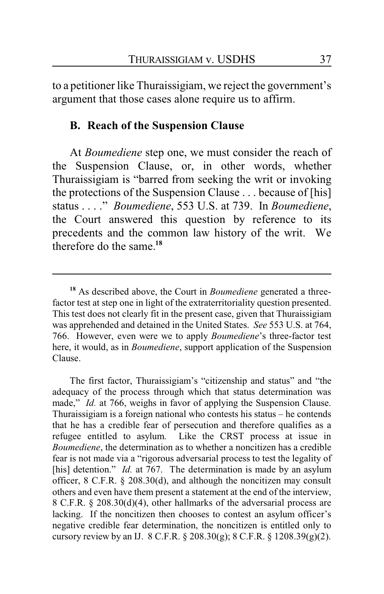to a petitioner like Thuraissigiam, we reject the government's argument that those cases alone require us to affirm.

## **B. Reach of the Suspension Clause**

At *Boumediene* step one, we must consider the reach of the Suspension Clause, or, in other words, whether Thuraissigiam is "barred from seeking the writ or invoking the protections of the Suspension Clause . . . because of [his] status . . . ." *Boumediene*, 553 U.S. at 739. In *Boumediene*, the Court answered this question by reference to its precedents and the common law history of the writ. We therefore do the same.**<sup>18</sup>**

**<sup>18</sup>** As described above, the Court in *Boumediene* generated a threefactor test at step one in light of the extraterritoriality question presented. This test does not clearly fit in the present case, given that Thuraissigiam was apprehended and detained in the United States. *See* 553 U.S. at 764, 766. However, even were we to apply *Boumediene*'s three-factor test here, it would, as in *Boumediene*, support application of the Suspension Clause.

The first factor, Thuraissigiam's "citizenship and status" and "the adequacy of the process through which that status determination was made," *Id.* at 766, weighs in favor of applying the Suspension Clause. Thuraissigiam is a foreign national who contests his status – he contends that he has a credible fear of persecution and therefore qualifies as a refugee entitled to asylum. Like the CRST process at issue in *Boumediene*, the determination as to whether a noncitizen has a credible fear is not made via a "rigorous adversarial process to test the legality of [his] detention." *Id.* at 767. The determination is made by an asylum officer, 8 C.F.R. § 208.30(d), and although the noncitizen may consult others and even have them present a statement at the end of the interview, 8 C.F.R. § 208.30(d)(4), other hallmarks of the adversarial process are lacking. If the noncitizen then chooses to contest an asylum officer's negative credible fear determination, the noncitizen is entitled only to cursory review by an IJ. 8 C.F.R. § 208.30(g); 8 C.F.R. § 1208.39(g)(2).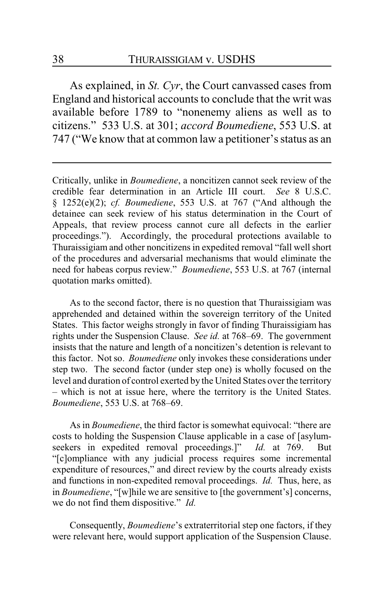As explained, in *St. Cyr*, the Court canvassed cases from England and historical accounts to conclude that the writ was available before 1789 to "nonenemy aliens as well as to citizens." 533 U.S. at 301; *accord Boumediene*, 553 U.S. at 747 ("We know that at common law a petitioner's status as an

Critically, unlike in *Boumediene*, a noncitizen cannot seek review of the credible fear determination in an Article III court. *See* 8 U.S.C. § 1252(e)(2); *cf. Boumediene*, 553 U.S. at 767 ("And although the detainee can seek review of his status determination in the Court of Appeals, that review process cannot cure all defects in the earlier proceedings."). Accordingly, the procedural protections available to Thuraissigiam and other noncitizens in expedited removal "fall well short of the procedures and adversarial mechanisms that would eliminate the need for habeas corpus review." *Boumediene*, 553 U.S. at 767 (internal quotation marks omitted).

As to the second factor, there is no question that Thuraissigiam was apprehended and detained within the sovereign territory of the United States. This factor weighs strongly in favor of finding Thuraissigiam has rights under the Suspension Clause. *See id.* at 768–69. The government insists that the nature and length of a noncitizen's detention is relevant to this factor. Not so. *Boumediene* only invokes these considerations under step two. The second factor (under step one) is wholly focused on the level and duration of control exerted by the United States over the territory – which is not at issue here, where the territory is the United States. *Boumediene*, 553 U.S. at 768–69.

As in *Boumediene*, the third factor is somewhat equivocal: "there are costs to holding the Suspension Clause applicable in a case of [asylumseekers in expedited removal proceedings.]" *Id.* at 769. But "[c]ompliance with any judicial process requires some incremental expenditure of resources," and direct review by the courts already exists and functions in non-expedited removal proceedings. *Id.* Thus, here, as in *Boumediene*, "[w]hile we are sensitive to [the government's] concerns, we do not find them dispositive." *Id.*

Consequently, *Boumediene*'s extraterritorial step one factors, if they were relevant here, would support application of the Suspension Clause.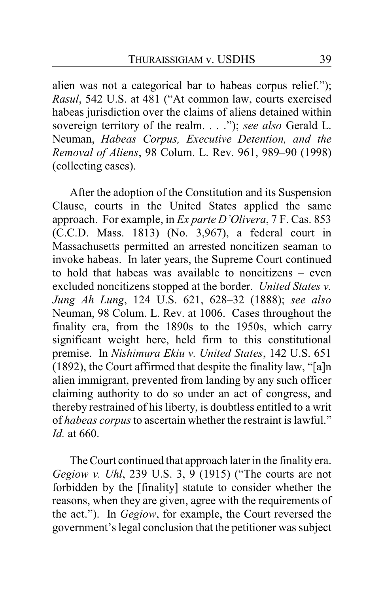alien was not a categorical bar to habeas corpus relief."); *Rasul*, 542 U.S. at 481 ("At common law, courts exercised habeas jurisdiction over the claims of aliens detained within sovereign territory of the realm. . . ."); *see also* Gerald L. Neuman, *Habeas Corpus, Executive Detention, and the Removal of Aliens*, 98 Colum. L. Rev. 961, 989–90 (1998) (collecting cases).

After the adoption of the Constitution and its Suspension Clause, courts in the United States applied the same approach. For example, in *Ex parte D'Olivera*, 7 F. Cas. 853 (C.C.D. Mass. 1813) (No. 3,967), a federal court in Massachusetts permitted an arrested noncitizen seaman to invoke habeas. In later years, the Supreme Court continued to hold that habeas was available to noncitizens – even excluded noncitizens stopped at the border. *United States v. Jung Ah Lung*, 124 U.S. 621, 628–32 (1888); *see also* Neuman, 98 Colum. L. Rev. at 1006. Cases throughout the finality era, from the 1890s to the 1950s, which carry significant weight here, held firm to this constitutional premise. In *Nishimura Ekiu v. United States*, 142 U.S. 651 (1892), the Court affirmed that despite the finality law, "[a]n alien immigrant, prevented from landing by any such officer claiming authority to do so under an act of congress, and thereby restrained of his liberty, is doubtless entitled to a writ of *habeas corpus*to ascertain whether the restraint is lawful." *Id.* at 660.

The Court continued that approach later in the finality era. *Gegiow v. Uhl*, 239 U.S. 3, 9 (1915) ("The courts are not forbidden by the [finality] statute to consider whether the reasons, when they are given, agree with the requirements of the act."). In *Gegiow*, for example, the Court reversed the government's legal conclusion that the petitioner was subject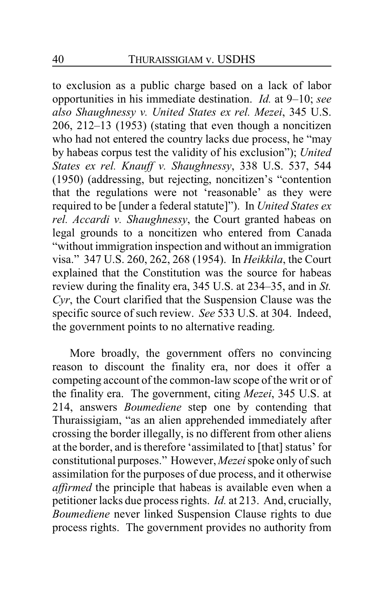to exclusion as a public charge based on a lack of labor opportunities in his immediate destination. *Id.* at 9–10; *see also Shaughnessy v. United States ex rel. Mezei*, 345 U.S. 206, 212–13 (1953) (stating that even though a noncitizen who had not entered the country lacks due process, he "may by habeas corpus test the validity of his exclusion"); *United States ex rel. Knauff v. Shaughnessy*, 338 U.S. 537, 544 (1950) (addressing, but rejecting, noncitizen's "contention that the regulations were not 'reasonable' as they were required to be [under a federal statute]"). In *United States ex rel. Accardi v. Shaughnessy*, the Court granted habeas on legal grounds to a noncitizen who entered from Canada "without immigration inspection and without an immigration visa." 347 U.S. 260, 262, 268 (1954). In *Heikkila*, the Court explained that the Constitution was the source for habeas review during the finality era, 345 U.S. at 234–35, and in *St. Cyr*, the Court clarified that the Suspension Clause was the specific source of such review. *See* 533 U.S. at 304. Indeed, the government points to no alternative reading.

More broadly, the government offers no convincing reason to discount the finality era, nor does it offer a competing account of the common-law scope of the writ or of the finality era. The government, citing *Mezei*, 345 U.S. at 214, answers *Boumediene* step one by contending that Thuraissigiam, "as an alien apprehended immediately after crossing the border illegally, is no different from other aliens at the border, and is therefore 'assimilated to [that] status' for constitutional purposes." However, *Mezei*spoke only of such assimilation for the purposes of due process, and it otherwise *affirmed* the principle that habeas is available even when a petitioner lacks due process rights. *Id.* at 213. And, crucially, *Boumediene* never linked Suspension Clause rights to due process rights. The government provides no authority from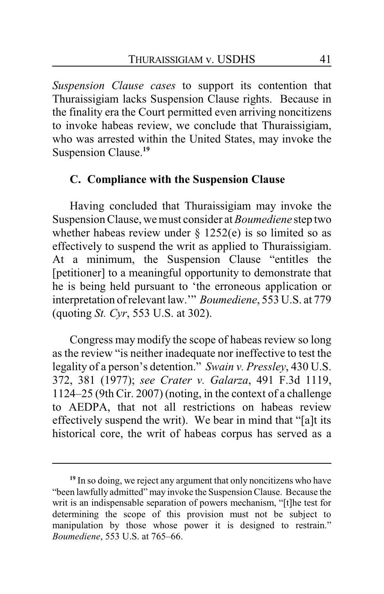*Suspension Clause cases* to support its contention that Thuraissigiam lacks Suspension Clause rights. Because in the finality era the Court permitted even arriving noncitizens to invoke habeas review, we conclude that Thuraissigiam, who was arrested within the United States, may invoke the Suspension Clause.**<sup>19</sup>**

## **C. Compliance with the Suspension Clause**

Having concluded that Thuraissigiam may invoke the Suspension Clause, we must consider at *Boumediene* step two whether habeas review under  $\S$  1252(e) is so limited so as effectively to suspend the writ as applied to Thuraissigiam. At a minimum, the Suspension Clause "entitles the [petitioner] to a meaningful opportunity to demonstrate that he is being held pursuant to 'the erroneous application or interpretation of relevant law.'" *Boumediene*, 553 U.S. at 779 (quoting *St. Cyr*, 553 U.S. at 302).

Congress may modify the scope of habeas review so long as the review "is neither inadequate nor ineffective to test the legality of a person's detention." *Swain v. Pressley*, 430 U.S. 372, 381 (1977); *see Crater v. Galarza*, 491 F.3d 1119, 1124–25 (9th Cir. 2007) (noting, in the context of a challenge to AEDPA, that not all restrictions on habeas review effectively suspend the writ). We bear in mind that "[a]t its historical core, the writ of habeas corpus has served as a

<sup>&</sup>lt;sup>19</sup> In so doing, we reject any argument that only noncitizens who have "been lawfully admitted" may invoke the SuspensionClause. Because the writ is an indispensable separation of powers mechanism, "[t]he test for determining the scope of this provision must not be subject to manipulation by those whose power it is designed to restrain." *Boumediene*, 553 U.S. at 765–66.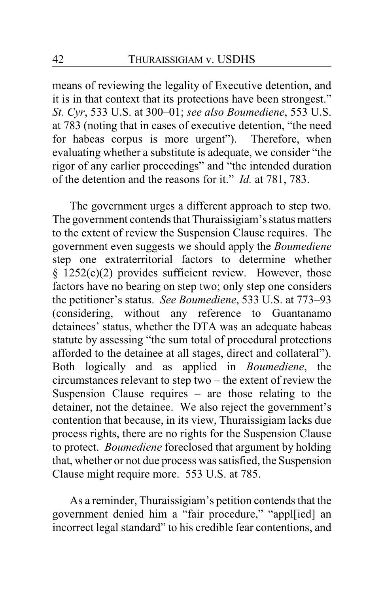means of reviewing the legality of Executive detention, and it is in that context that its protections have been strongest." *St. Cyr*, 533 U.S. at 300–01; *see also Boumediene*, 553 U.S. at 783 (noting that in cases of executive detention, "the need for habeas corpus is more urgent"). Therefore, when evaluating whether a substitute is adequate, we consider "the rigor of any earlier proceedings" and "the intended duration of the detention and the reasons for it." *Id.* at 781, 783.

The government urges a different approach to step two. The government contends that Thuraissigiam's status matters to the extent of review the Suspension Clause requires. The government even suggests we should apply the *Boumediene* step one extraterritorial factors to determine whether § 1252(e)(2) provides sufficient review. However, those factors have no bearing on step two; only step one considers the petitioner's status. *See Boumediene*, 533 U.S. at 773–93 (considering, without any reference to Guantanamo detainees' status, whether the DTA was an adequate habeas statute by assessing "the sum total of procedural protections afforded to the detainee at all stages, direct and collateral"). Both logically and as applied in *Boumediene*, the circumstances relevant to step two – the extent of review the Suspension Clause requires  $-$  are those relating to the detainer, not the detainee. We also reject the government's contention that because, in its view, Thuraissigiam lacks due process rights, there are no rights for the Suspension Clause to protect. *Boumediene* foreclosed that argument by holding that, whether or not due process was satisfied, the Suspension Clause might require more. 553 U.S. at 785.

As a reminder, Thuraissigiam's petition contends that the government denied him a "fair procedure," "appl[ied] an incorrect legal standard" to his credible fear contentions, and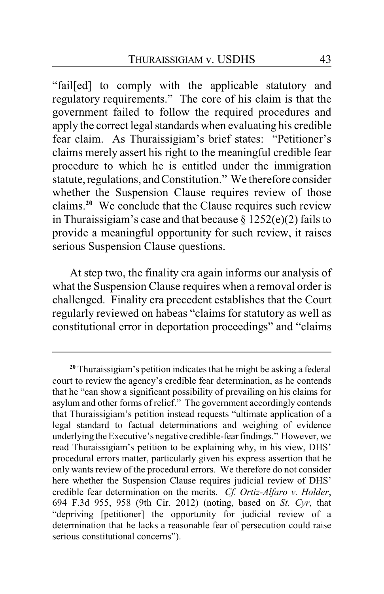"fail[ed] to comply with the applicable statutory and regulatory requirements." The core of his claim is that the government failed to follow the required procedures and apply the correct legal standards when evaluating his credible fear claim. As Thuraissigiam's brief states: "Petitioner's claims merely assert his right to the meaningful credible fear procedure to which he is entitled under the immigration statute, regulations, and Constitution." We therefore consider whether the Suspension Clause requires review of those claims.**<sup>20</sup>** We conclude that the Clause requires such review in Thuraissigiam's case and that because  $\S 1252(e)(2)$  fails to provide a meaningful opportunity for such review, it raises serious Suspension Clause questions.

At step two, the finality era again informs our analysis of what the Suspension Clause requires when a removal order is challenged. Finality era precedent establishes that the Court regularly reviewed on habeas "claims for statutory as well as constitutional error in deportation proceedings" and "claims

**<sup>20</sup>** Thuraissigiam's petition indicates that he might be asking a federal court to review the agency's credible fear determination, as he contends that he "can show a significant possibility of prevailing on his claims for asylum and other forms of relief." The government accordingly contends that Thuraissigiam's petition instead requests "ultimate application of a legal standard to factual determinations and weighing of evidence underlying the Executive's negative credible-fear findings." However, we read Thuraissigiam's petition to be explaining why, in his view, DHS' procedural errors matter, particularly given his express assertion that he only wants review of the procedural errors. We therefore do not consider here whether the Suspension Clause requires judicial review of DHS' credible fear determination on the merits. *Cf. Ortiz-Alfaro v. Holder*, 694 F.3d 955, 958 (9th Cir. 2012) (noting, based on *St. Cyr*, that "depriving [petitioner] the opportunity for judicial review of a determination that he lacks a reasonable fear of persecution could raise serious constitutional concerns").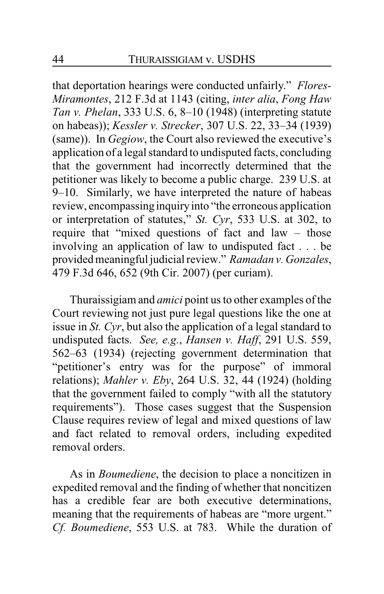that deportation hearings were conducted unfairly." *Flores-Miramontes*, 212 F.3d at 1143 (citing, *inter alia*, *Fong Haw Tan v. Phelan*, 333 U.S. 6, 8–10 (1948) (interpreting statute on habeas)); *Kessler v. Strecker*, 307 U.S. 22, 33–34 (1939) (same)). In *Gegiow*, the Court also reviewed the executive's application of a legal standard to undisputed facts, concluding that the government had incorrectly determined that the petitioner was likely to become a public charge. 239 U.S. at 9–10. Similarly, we have interpreted the nature of habeas review, encompassing inquiryinto "the erroneous application or interpretation of statutes," *St. Cyr*, 533 U.S. at 302, to require that "mixed questions of fact and law – those involving an application of law to undisputed fact . . . be provided meaningful judicial review." *Ramadan v. Gonzales*, 479 F.3d 646, 652 (9th Cir. 2007) (per curiam).

Thuraissigiam and *amici* point us to other examples of the Court reviewing not just pure legal questions like the one at issue in *St. Cyr*, but also the application of a legal standard to undisputed facts. *See, e.g.*, *Hansen v. Haff*, 291 U.S. 559, 562–63 (1934) (rejecting government determination that "petitioner's entry was for the purpose" of immoral relations); *Mahler v. Eby*, 264 U.S. 32, 44 (1924) (holding that the government failed to comply "with all the statutory requirements"). Those cases suggest that the Suspension Clause requires review of legal and mixed questions of law and fact related to removal orders, including expedited removal orders.

As in *Boumediene*, the decision to place a noncitizen in expedited removal and the finding of whether that noncitizen has a credible fear are both executive determinations, meaning that the requirements of habeas are "more urgent." *Cf. Boumediene*, 553 U.S. at 783. While the duration of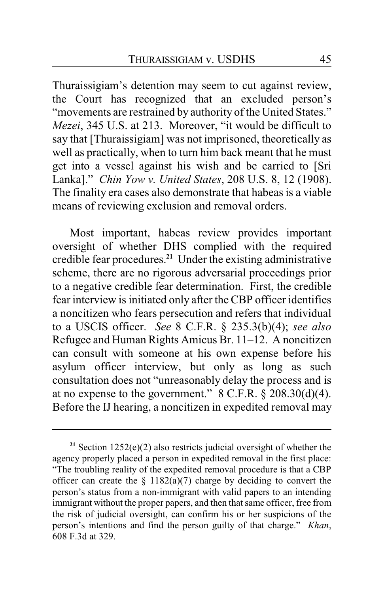Thuraissigiam's detention may seem to cut against review, the Court has recognized that an excluded person's "movements are restrained by authority of the United States." *Mezei*, 345 U.S. at 213. Moreover, "it would be difficult to say that [Thuraissigiam] was not imprisoned, theoretically as well as practically, when to turn him back meant that he must get into a vessel against his wish and be carried to [Sri Lanka]." *Chin Yow v. United States*, 208 U.S. 8, 12 (1908). The finality era cases also demonstrate that habeas is a viable means of reviewing exclusion and removal orders.

Most important, habeas review provides important oversight of whether DHS complied with the required credible fear procedures.**<sup>21</sup>** Under the existing administrative scheme, there are no rigorous adversarial proceedings prior to a negative credible fear determination. First, the credible fear interview is initiated only after the CBP officer identifies a noncitizen who fears persecution and refers that individual to a USCIS officer. *See* 8 C.F.R. § 235.3(b)(4); *see also* Refugee and Human Rights Amicus Br. 11–12. A noncitizen can consult with someone at his own expense before his asylum officer interview, but only as long as such consultation does not "unreasonably delay the process and is at no expense to the government."  $8$  C.F.R.  $\S$  208.30(d)(4). Before the IJ hearing, a noncitizen in expedited removal may

**<sup>21</sup>** Section 1252(e)(2) also restricts judicial oversight of whether the agency properly placed a person in expedited removal in the first place: "The troubling reality of the expedited removal procedure is that a CBP officer can create the  $\S 1182(a)(7)$  charge by deciding to convert the person's status from a non-immigrant with valid papers to an intending immigrant without the proper papers, and then that same officer, free from the risk of judicial oversight, can confirm his or her suspicions of the person's intentions and find the person guilty of that charge." *Khan*, 608 F.3d at 329.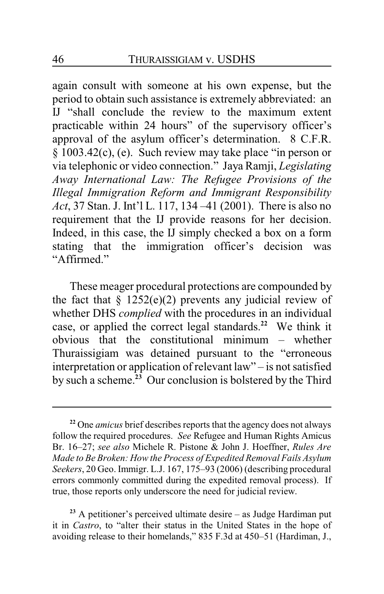again consult with someone at his own expense, but the period to obtain such assistance is extremely abbreviated: an IJ "shall conclude the review to the maximum extent practicable within 24 hours" of the supervisory officer's approval of the asylum officer's determination. 8 C.F.R. § 1003.42(c), (e). Such review may take place "in person or via telephonic or video connection." Jaya Ramji, *Legislating Away International Law: The Refugee Provisions of the Illegal Immigration Reform and Immigrant Responsibility Act*, 37 Stan. J. Int'l L. 117, 134 –41 (2001). There is also no requirement that the IJ provide reasons for her decision. Indeed, in this case, the IJ simply checked a box on a form stating that the immigration officer's decision was "Affirmed."

These meager procedural protections are compounded by the fact that  $\S$  1252(e)(2) prevents any judicial review of whether DHS *complied* with the procedures in an individual case, or applied the correct legal standards.**<sup>22</sup>** We think it obvious that the constitutional minimum – whether Thuraissigiam was detained pursuant to the "erroneous interpretation or application of relevant law" – is not satisfied by such a scheme.**<sup>23</sup>** Our conclusion is bolstered by the Third

**<sup>22</sup>** One *amicus* brief describes reports that the agency does not always follow the required procedures. *See* Refugee and Human Rights Amicus Br. 16–27; *see also* Michele R. Pistone & John J. Hoeffner, *Rules Are Made to Be Broken: How the Process of Expedited Removal Fails Asylum Seekers*, 20 Geo. Immigr. L.J. 167, 175–93 (2006) (describing procedural errors commonly committed during the expedited removal process). If true, those reports only underscore the need for judicial review.

**<sup>23</sup>** A petitioner's perceived ultimate desire – as Judge Hardiman put it in *Castro*, to "alter their status in the United States in the hope of avoiding release to their homelands," 835 F.3d at 450–51 (Hardiman, J.,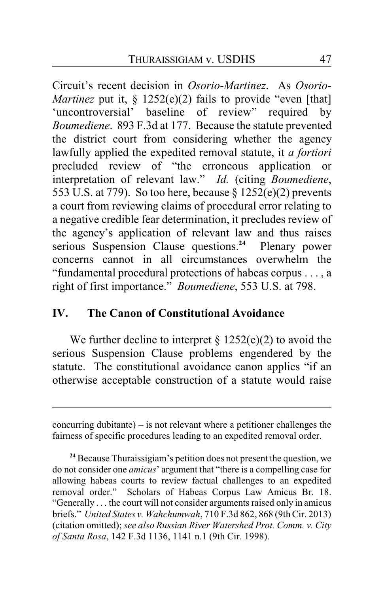Circuit's recent decision in *Osorio-Martinez*. As *Osorio-Martinez* put it, § 1252(e)(2) fails to provide "even [that] 'uncontroversial' baseline of review" required by *Boumediene*. 893 F.3d at 177. Because the statute prevented the district court from considering whether the agency lawfully applied the expedited removal statute, it *a fortiori* precluded review of "the erroneous application or interpretation of relevant law." *Id.* (citing *Boumediene*, 553 U.S. at 779). So too here, because  $\S 1252(e)(2)$  prevents a court from reviewing claims of procedural error relating to a negative credible fear determination, it precludes review of the agency's application of relevant law and thus raises serious Suspension Clause questions.**<sup>24</sup>** Plenary power concerns cannot in all circumstances overwhelm the "fundamental procedural protections of habeas corpus . . . , a right of first importance." *Boumediene*, 553 U.S. at 798.

## **IV. The Canon of Constitutional Avoidance**

We further decline to interpret  $\S 1252(e)(2)$  to avoid the serious Suspension Clause problems engendered by the statute. The constitutional avoidance canon applies "if an otherwise acceptable construction of a statute would raise

concurring dubitante) – is not relevant where a petitioner challenges the fairness of specific procedures leading to an expedited removal order.

**<sup>24</sup>** Because Thuraissigiam's petition does not present the question, we do not consider one *amicus*' argument that "there is a compelling case for allowing habeas courts to review factual challenges to an expedited removal order." Scholars of Habeas Corpus Law Amicus Br. 18. "Generally . . . the court will not consider arguments raised only in amicus briefs." *United States v. Wahchumwah*, 710 F.3d 862, 868 (9thCir. 2013) (citation omitted); *see also Russian River Watershed Prot. Comm. v. City of Santa Rosa*, 142 F.3d 1136, 1141 n.1 (9th Cir. 1998).